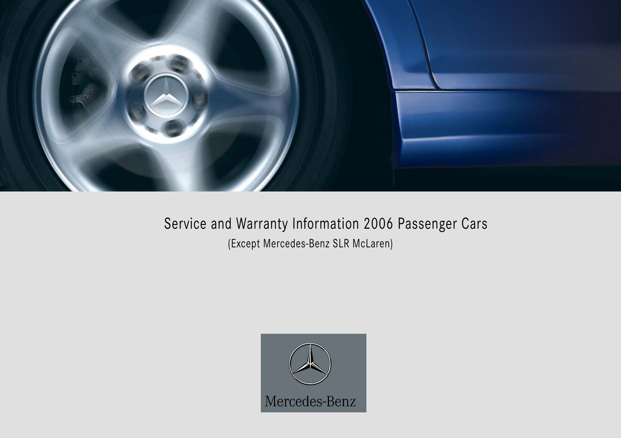

# Service and Warranty Information 2006 Passenger Cars (Except Mercedes-Benz SLR McLaren)

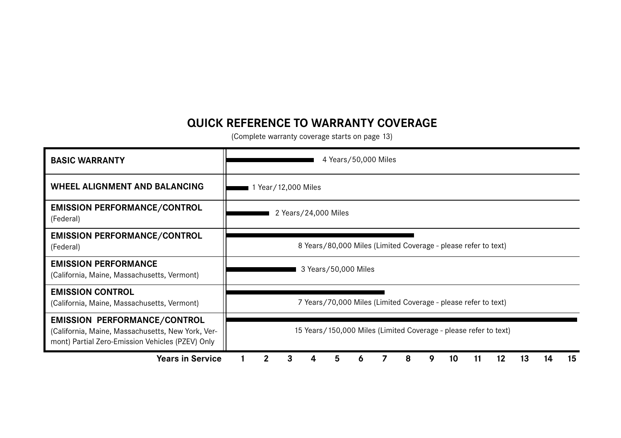# **QUICK REFERENCE TO WARRANTY COVERAGE**

(Complete warranty coverage starts on page 13)

| <b>BASIC WARRANTY</b>                                                                                                                        | 4 Years / 50,000 Miles                                           |  |  |  |  |  |  |  |  |
|----------------------------------------------------------------------------------------------------------------------------------------------|------------------------------------------------------------------|--|--|--|--|--|--|--|--|
| WHEEL ALIGNMENT AND BALANCING                                                                                                                | 1 Year / 12,000 Miles                                            |  |  |  |  |  |  |  |  |
| <b>EMISSION PERFORMANCE/CONTROL</b><br>(Federal)                                                                                             | 2 Years/24,000 Miles                                             |  |  |  |  |  |  |  |  |
| <b>EMISSION PERFORMANCE/CONTROL</b><br>(Federal)                                                                                             | 8 Years/80,000 Miles (Limited Coverage - please refer to text)   |  |  |  |  |  |  |  |  |
| <b>EMISSION PERFORMANCE</b><br>(California, Maine, Massachusetts, Vermont)                                                                   | 3 Years/50,000 Miles                                             |  |  |  |  |  |  |  |  |
| <b>EMISSION CONTROL</b><br>(California, Maine, Massachusetts, Vermont)                                                                       | 7 Years/70,000 Miles (Limited Coverage - please refer to text)   |  |  |  |  |  |  |  |  |
| <b>EMISSION PERFORMANCE/CONTROL</b><br>(California, Maine, Massachusetts, New York, Ver-<br>mont) Partial Zero-Emission Vehicles (PZEV) Only | 15 Years/150,000 Miles (Limited Coverage - please refer to text) |  |  |  |  |  |  |  |  |
| <b>Years in Service</b>                                                                                                                      | 15<br>3<br>12<br>8<br>11<br>13<br>5<br>9<br>10<br>14<br>4<br>Ō   |  |  |  |  |  |  |  |  |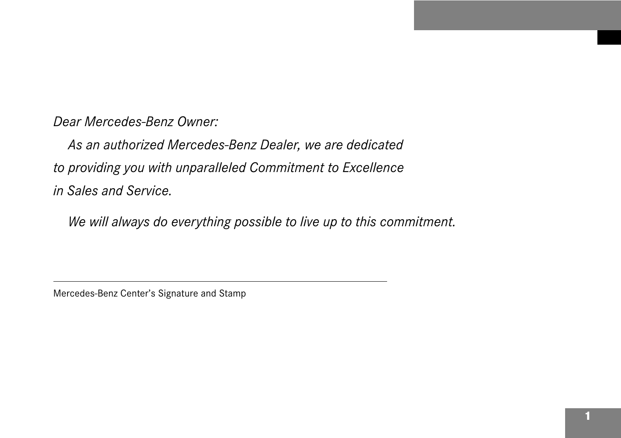*Dear Mercedes-Benz Owner:*

*As an authorized Mercedes-Benz Dealer, we are dedicated to providing you with unparalleled Commitment to Excellence in Sales and Service.*

*We will always do everything possible to live up to this commitment.*

Mercedes-Benz Center's Signature and Stamp

l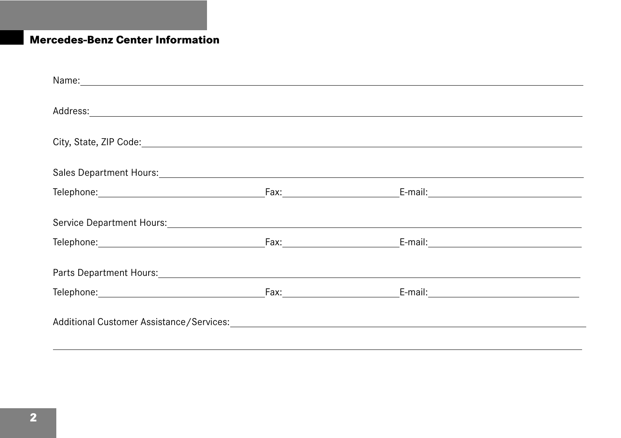# **Mercedes-Benz Center Information**

| Name: Name:                                                                                                                                                                                                                    |  |                                                                                                                                                                                                                                |  |  |  |  |  |  |  |
|--------------------------------------------------------------------------------------------------------------------------------------------------------------------------------------------------------------------------------|--|--------------------------------------------------------------------------------------------------------------------------------------------------------------------------------------------------------------------------------|--|--|--|--|--|--|--|
|                                                                                                                                                                                                                                |  |                                                                                                                                                                                                                                |  |  |  |  |  |  |  |
|                                                                                                                                                                                                                                |  |                                                                                                                                                                                                                                |  |  |  |  |  |  |  |
|                                                                                                                                                                                                                                |  |                                                                                                                                                                                                                                |  |  |  |  |  |  |  |
|                                                                                                                                                                                                                                |  |                                                                                                                                                                                                                                |  |  |  |  |  |  |  |
|                                                                                                                                                                                                                                |  |                                                                                                                                                                                                                                |  |  |  |  |  |  |  |
|                                                                                                                                                                                                                                |  |                                                                                                                                                                                                                                |  |  |  |  |  |  |  |
|                                                                                                                                                                                                                                |  |                                                                                                                                                                                                                                |  |  |  |  |  |  |  |
|                                                                                                                                                                                                                                |  |                                                                                                                                                                                                                                |  |  |  |  |  |  |  |
| Service Department Hours: New York Contract the Contract of the Contract of the Contract of the Contract of the Contract of the Contract of the Contract of the Contract of the Contract of the Contract of the Contract of th |  |                                                                                                                                                                                                                                |  |  |  |  |  |  |  |
|                                                                                                                                                                                                                                |  |                                                                                                                                                                                                                                |  |  |  |  |  |  |  |
|                                                                                                                                                                                                                                |  |                                                                                                                                                                                                                                |  |  |  |  |  |  |  |
| Parts Department Hours: New York Contract of the Contract of the Contract of the Contract of the Contract of the Contract of the Contract of the Contract of the Contract of the Contract of the Contract of the Contract of t |  |                                                                                                                                                                                                                                |  |  |  |  |  |  |  |
|                                                                                                                                                                                                                                |  | E-mail: E-mail: E-mail: E-mail: E-mail: E-mail: E-mail: E-mail: E-mail: E-mail: E-mail: E-mail: E-mail: E-mail: E-mail: E-mail: E-mail: E-mail: E-mail: E-mail: E-mail: E-mail: E-mail: E-mail: E-mail: E-mail: E-mail: E-mail |  |  |  |  |  |  |  |
|                                                                                                                                                                                                                                |  |                                                                                                                                                                                                                                |  |  |  |  |  |  |  |
|                                                                                                                                                                                                                                |  |                                                                                                                                                                                                                                |  |  |  |  |  |  |  |

l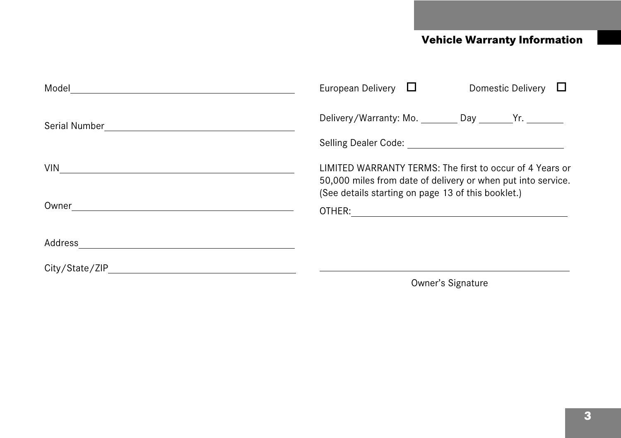# **Vehicle Warranty Information**

| Model<br><u> 1989 - John Stein, Amerikaansk politiker (</u> † 1920) | European Delivery ⊔<br>Domestic Delivery L                                                                               |
|---------------------------------------------------------------------|--------------------------------------------------------------------------------------------------------------------------|
|                                                                     | Delivery/Warranty: Mo. ________ Day _______ Yr. _______                                                                  |
|                                                                     |                                                                                                                          |
| $VIN$ $\qquad \qquad$                                               | LIMITED WARRANTY TERMS: The first to occur of 4 Years or<br>50,000 miles from date of delivery or when put into service. |
|                                                                     | (See details starting on page 13 of this booklet.)                                                                       |
|                                                                     |                                                                                                                          |
|                                                                     |                                                                                                                          |
|                                                                     | Owner's Signature                                                                                                        |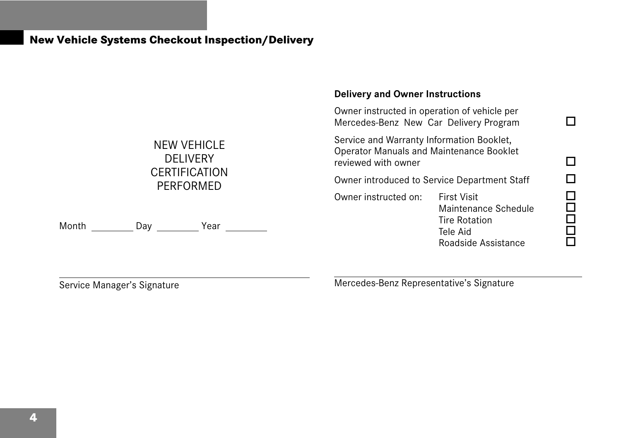### **New Vehicle Systems Checkout Inspection/Delivery**

#### NEW VEHICLE DELIVERY **CERTIFICATION** PERFORMED Month Day Day Year **Delivery and Owner Instructions** Owner instructed in operation of vehicle per Mercedes-Benz New Car Delivery Program □ Service and Warranty Information Booklet, Operator Manuals and Maintenance Booklet reviewed with owner Owner introduced to Service Department Staff  $\square$ Owner instructed on: First Visit  $\Box$ <br>
Maintenance Schedule  $\Box$ <br>
Tire Rotation  $\Box$ <br>
Tele Aid  $\Box$ <br>
Roadside Assistance  $\Box$  Maintenance Schedule Tire Rotation Tele Aid Roadside Assistance

Service Manager's Signature

l Mercedes-Benz Representative's Signature

l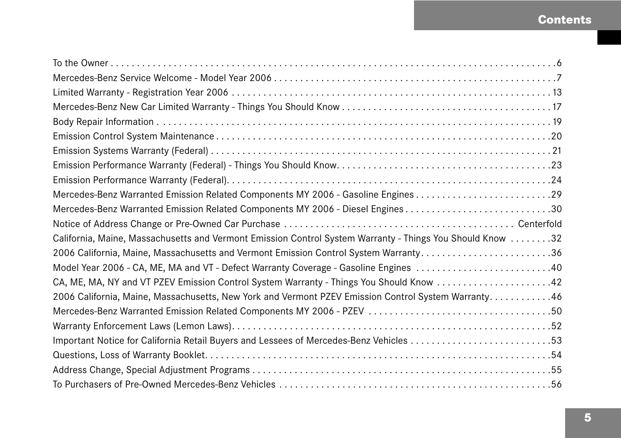# **Contents**

| Mercedes-Benz Warranted Emission Related Components MY 2006 - Diesel Engines30                            |
|-----------------------------------------------------------------------------------------------------------|
|                                                                                                           |
| California, Maine, Massachusetts and Vermont Emission Control System Warranty - Things You Should Know 32 |
| 2006 California, Maine, Massachusetts and Vermont Emission Control System Warranty36                      |
| Model Year 2006 - CA, ME, MA and VT - Defect Warranty Coverage - Gasoline Engines 40                      |
| CA, ME, MA, NY and VT PZEV Emission Control System Warranty - Things You Should Know  42                  |
| 2006 California, Maine, Massachusetts, New York and Vermont PZEV Emission Control System Warranty. 46     |
|                                                                                                           |
|                                                                                                           |
|                                                                                                           |
|                                                                                                           |
|                                                                                                           |
|                                                                                                           |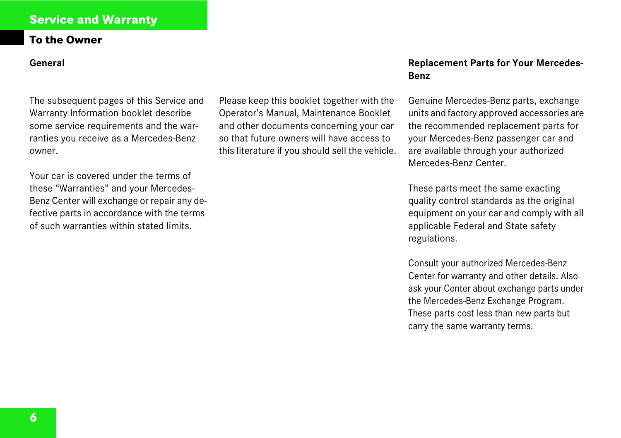### **To the Owner**

#### **General**

The subsequent pages of this Service and Warranty Information booklet describe some service requirements and the warranties you receive as a Mercedes-Benz owner.

Your car is covered under the terms of these "Warranties" and your Mercedes-Benz Center will exchange or repair any defective parts in accordance with the terms of such warranties within stated limits.

Please keep this booklet together with the Operator's Manual, Maintenance Booklet and other documents concerning your car so that future owners will have access to this literature if you should sell the vehicle.

#### **Replacement Parts for Your Mercedes-Benz**

Genuine Mercedes-Benz parts, exchange units and factory approved accessories are the recommended replacement parts for your Mercedes-Benz passenger car and are available through your authorized Mercedes-Benz Center.

These parts meet the same exacting quality control standards as the original equipment on your car and comply with all applicable Federal and State safety regulations.

Consult your authorized Mercedes-Benz Center for warranty and other details. Also ask your Center about exchange parts under the Mercedes-Benz Exchange Program. These parts cost less than new parts but carry the same warranty terms.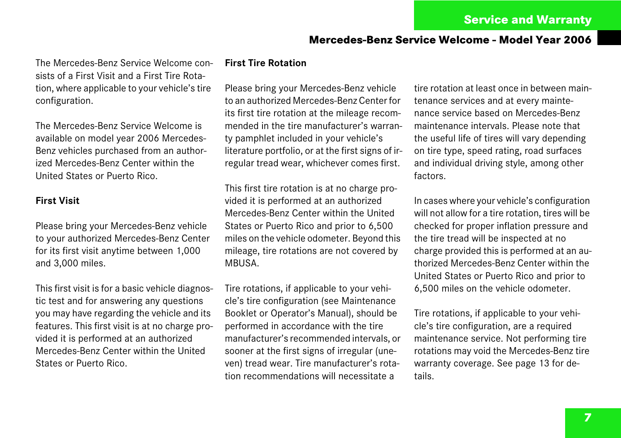### **Mercedes-Benz Service Welcome - Model Year 2006**

The Mercedes-Benz Service Welcome consists of a First Visit and a First Tire Rotation, where applicable to your vehicle's tire configuration.

The Mercedes-Benz Service Welcome is available on model year 2006 Mercedes-Benz vehicles purchased from an authorized Mercedes-Benz Center within the United States or Puerto Rico.

#### **First Visit**

Please bring your Mercedes-Benz vehicle to your authorized Mercedes-Benz Center for its first visit anytime between 1,000 and 3,000 miles.

This first visit is for a basic vehicle diagnostic test and for answering any questions you may have regarding the vehicle and its features. This first visit is at no charge provided it is performed at an authorized Mercedes-Benz Center within the United States or Puerto Rico.

#### **First Tire Rotation**

Please bring your Mercedes-Benz vehicle to an authorized Mercedes-Benz Center for its first tire rotation at the mileage recommended in the tire manufacturer's warranty pamphlet included in your vehicle's literature portfolio, or at the first signs of irregular tread wear, whichever comes first.

This first tire rotation is at no charge provided it is performed at an authorized Mercedes-Benz Center within the United States or Puerto Rico and prior to 6,500 miles on the vehicle odometer. Beyond this mileage, tire rotations are not covered by MBUSA.

Tire rotations, if applicable to your vehicle's tire configuration (see Maintenance Booklet or Operator's Manual), should be performed in accordance with the tire manufacturer's recommended intervals, or sooner at the first signs of irregular (uneven) tread wear. Tire manufacturer's rotation recommendations will necessitate a

tire rotation at least once in between maintenance services and at every maintenance service based on Mercedes-Benz maintenance intervals. Please note that the useful life of tires will vary depending on tire type, speed rating, road surfaces and individual driving style, among other factors.

In cases where your vehicle's configuration will not allow for a tire rotation, tires will be checked for proper inflation pressure and the tire tread will be inspected at no charge provided this is performed at an authorized Mercedes-Benz Center within the United States or Puerto Rico and prior to 6,500 miles on the vehicle odometer.

Tire rotations, if applicable to your vehicle's tire configuration, are a required maintenance service. Not performing tire rotations may void the Mercedes-Benz tire warranty coverage. See page 13 for details.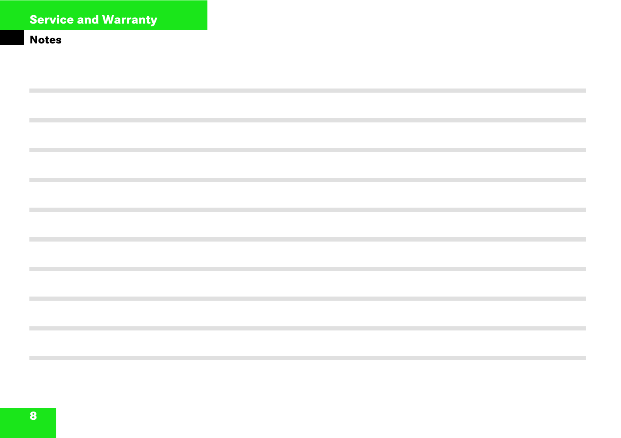| ,我们也不会有什么。""我们的人,我们也不会有什么?""我们的人,我们也不会有什么?""我们的人,我们也不会有什么?""我们的人,我们也不会有什么?""我们的人         |  |
|------------------------------------------------------------------------------------------|--|
|                                                                                          |  |
|                                                                                          |  |
| 的,我们也不会有什么?""我们的人,我们也不会有什么?""我们的人,我们也不会有什么?""我们的人,我们也不会有什么?""我们的人,我们也不会有什么?""我们的         |  |
|                                                                                          |  |
|                                                                                          |  |
| <b>一个人的人,我们也不能在这个人的人,我们也不能在这个人的人,我们也不能在这个人的人,我们</b> 也不能在这个人的人,我们也不能在这个人的人,我们也不能在这个人的人,我们 |  |
|                                                                                          |  |
|                                                                                          |  |
| 的,我们也不会有什么?""我们的人,我们也不会有什么?""我们的人,我们也不会有什么?""我们的人,我们也不会有什么?""我们的人,我们也不会有什么?""我们的         |  |
|                                                                                          |  |
|                                                                                          |  |
| 的,我们也不会有什么。""我们的人,我们也不会有什么?""我们的人,我们也不会有什么?""我们的人,我们也不会有什么?""我们的人,我们也不会有什么?""我们的         |  |
|                                                                                          |  |
|                                                                                          |  |
| 的,我们也不会有什么?""我们的人,我们也不会有什么?""我们的人,我们也不会有什么?""我们的人,我们也不会有什么?""我们的人,我们也不会有什么?""我们的         |  |
|                                                                                          |  |
|                                                                                          |  |
| <b>一个人的人,我们也不能在这个人的人,我们也不能在这个人的人,我们也不能在这个人的人,我们</b> 也不能在这个人的人,我们也不能在这个人的人,我们也不能在这个人的人,我们 |  |
|                                                                                          |  |
|                                                                                          |  |
| 的,我们也不会有什么?""我们的人,我们也不会有什么?""我们的人,我们也不会有什么?""我们的人,我们也不会有什么?""我们的人,我们也不会有什么?""我们的         |  |
|                                                                                          |  |
|                                                                                          |  |
| 的,我们也不会有什么?""我们的人,我们也不会有什么?""我们的人,我们也不会有什么?""我们的人,我们也不会有什么?""我们的人,我们也不会有什么?""我们的         |  |
|                                                                                          |  |
|                                                                                          |  |
| <b>一个人的人,我们也不能在这个人的人,我们也不能在这个人的人,我们也不能在这个人的人,我们</b> 也不能在这个人的人,我们也不能在这个人的人,我们也不能在这个人的人,我们 |  |
|                                                                                          |  |
|                                                                                          |  |
|                                                                                          |  |
|                                                                                          |  |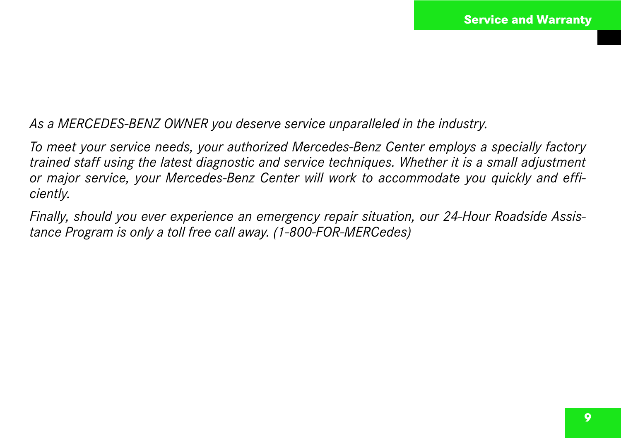*As a MERCEDES-BENZ OWNER you deserve service unparalleled in the industry.*

*To meet your service needs, your authorized Mercedes-Benz Center employs a specially factory trained staff using the latest diagnostic and service techniques. Whether it is a small adjustment or major service, your Mercedes-Benz Center will work to accommodate you quickly and efficiently.*

*Finally, should you ever experience an emergency repair situation, our 24-Hour Roadside Assistance Program is only a toll free call away. (1-800-FOR-MERCedes)*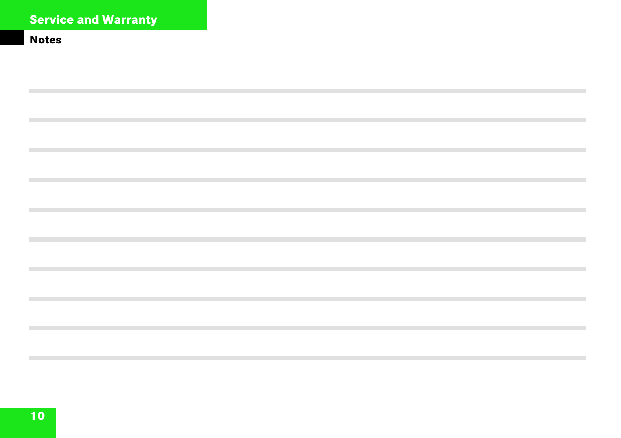| successive contracts and contracts are all the contracts of the contracts of the contracts of the contracts of |  |
|----------------------------------------------------------------------------------------------------------------|--|
|                                                                                                                |  |
|                                                                                                                |  |
|                                                                                                                |  |
| <b>这个人的人,我们也不能在这个人的人,我们也不能在这个人的人,我们也不能在这个人的人,我们也不能在这个人的人,我们也不能在这个人的人,我们</b> 也不能在这个人的人,我们                       |  |
|                                                                                                                |  |
|                                                                                                                |  |
|                                                                                                                |  |
| successive contracts and contracts are all the contracts of the contracts of the contracts of the contracts of |  |
|                                                                                                                |  |
|                                                                                                                |  |
|                                                                                                                |  |
| 的,我们也不会有什么。""我们的人,我们也不会有什么?""我们的人,我们也不会有什么?""我们的人,我们也不会有什么?""我们的人,我们也不会有什么?""我们的                               |  |
|                                                                                                                |  |
|                                                                                                                |  |
|                                                                                                                |  |
| 的,我们也不会有什么。""我们的人,我们也不会有什么?""我们的人,我们也不会有什么?""我们的人,我们也不会有什么?""我们的人,我们也不会有什么?""我们的                               |  |
|                                                                                                                |  |
|                                                                                                                |  |
| 的,我们也不会有什么。""我们的人,我们也不会有什么?""我们的人,我们也不会有什么?""我们的人,我们也不会有什么?""我们的人,我们也不会有什么?""我们的                               |  |
|                                                                                                                |  |
|                                                                                                                |  |
|                                                                                                                |  |
| <b>这个人的人,我们也不能在这个人的人,我们也不能在这个人的人,我们也不能在这个人的人,我们也不能在这个人的人,我们也不能在这个人的人,我们</b> 也不能在这个人的人,我们                       |  |
|                                                                                                                |  |
|                                                                                                                |  |
|                                                                                                                |  |
| <b>这个人的人,我们也不能在这个人的人,我们也不能在这个人的人,我们也不能在这个人的人,我们也不能在这个人的人,我们也不能在这个人的人,我们</b> 也不能在这个人的人,我们                       |  |
|                                                                                                                |  |
|                                                                                                                |  |
|                                                                                                                |  |
| 的,我们也不会有什么。""我们的人,我们也不会有什么?""我们的人,我们也不会有什么?""我们的人,我们也不会有什么?""我们的人,我们也不会有什么?""我们的                               |  |
|                                                                                                                |  |
|                                                                                                                |  |
|                                                                                                                |  |
| 的,我们也不会有什么。""我们的人,我们也不会有什么?""我们的人,我们也不会有什么?""我们的人,我们也不会有什么?""我们的人,我们也不会有什么?""我们的                               |  |
|                                                                                                                |  |
|                                                                                                                |  |
|                                                                                                                |  |
|                                                                                                                |  |
|                                                                                                                |  |
|                                                                                                                |  |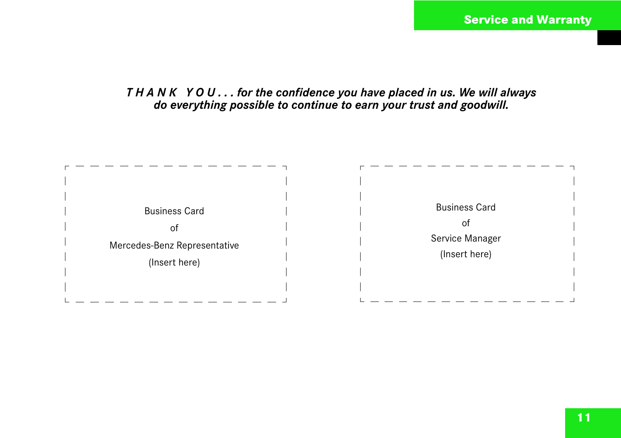# *T H A N K Y O U . . . for the confidence you have placed in us. We will always do everything possible to continue to earn your trust and goodwill.*

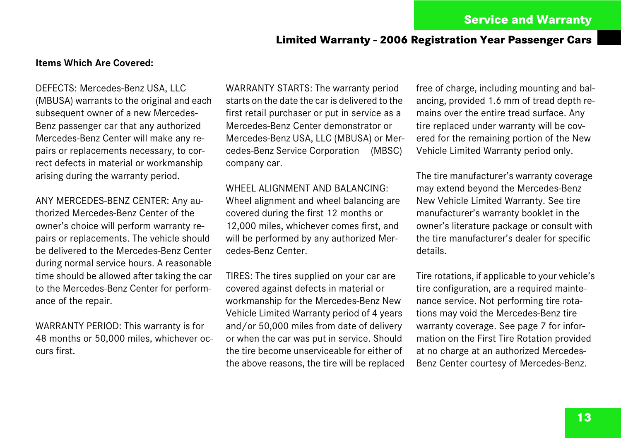#### **Items Which Are Covered:**

DEFECTS: Mercedes-Benz USA, LLC (MBUSA) warrants to the original and each subsequent owner of a new Mercedes-Benz passenger car that any authorized Mercedes-Benz Center will make any repairs or replacements necessary, to correct defects in material or workmanship arising during the warranty period.

ANY MERCEDES-BENZ CENTER: Any authorized Mercedes-Benz Center of the owner's choice will perform warranty repairs or replacements. The vehicle should be delivered to the Mercedes-Benz Center during normal service hours. A reasonable time should be allowed after taking the car to the Mercedes-Benz Center for performance of the repair.

WARRANTY PERIOD: This warranty is for 48 months or 50,000 miles, whichever occurs first.

WARRANTY STARTS: The warranty period starts on the date the car is delivered to the first retail purchaser or put in service as a Mercedes-Benz Center demonstrator or Mercedes-Benz USA, LLC (MBUSA) or Mercedes-Benz Service Corporation (MBSC) company car.

#### WHEEL ALIGNMENT AND BALANCING:

Wheel alignment and wheel balancing are covered during the first 12 months or 12,000 miles, whichever comes first, and will be performed by any authorized Mercedes-Benz Center.

TIRES: The tires supplied on your car are covered against defects in material or workmanship for the Mercedes-Benz New Vehicle Limited Warranty period of 4 years and/or 50,000 miles from date of delivery or when the car was put in service. Should the tire become unserviceable for either of the above reasons, the tire will be replaced free of charge, including mounting and balancing, provided 1.6 mm of tread depth remains over the entire tread surface. Any tire replaced under warranty will be covered for the remaining portion of the New Vehicle Limited Warranty period only.

The tire manufacturer's warranty coverage may extend beyond the Mercedes-Benz New Vehicle Limited Warranty. See tire manufacturer's warranty booklet in the owner's literature package or consult with the tire manufacturer's dealer for specific details.

Tire rotations, if applicable to your vehicle's tire configuration, are a required maintenance service. Not performing tire rotations may void the Mercedes-Benz tire warranty coverage. See page 7 for information on the First Tire Rotation provided at no charge at an authorized Mercedes-Benz Center courtesy of Mercedes-Benz.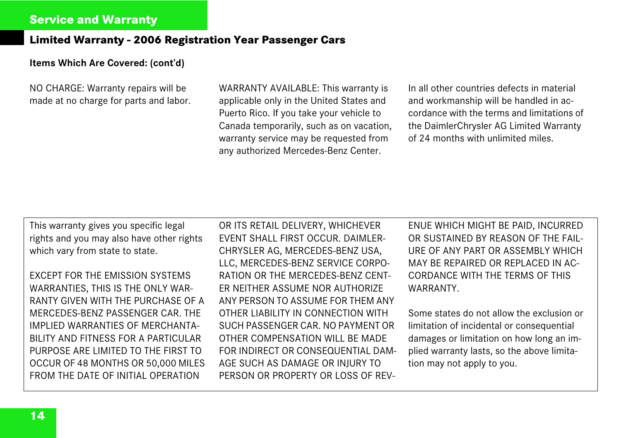#### **Items Which Are Covered: (cont'd)**

NO CHARGE: Warranty repairs will be made at no charge for parts and labor. WARRANTY AVAILABLE: This warranty is applicable only in the United States and Puerto Rico. If you take your vehicle to Canada temporarily, such as on vacation, warranty service may be requested from any authorized Mercedes-Benz Center.

In all other countries defects in material and workmanship will be handled in accordance with the terms and limitations of the DaimlerChrysler AG Limited Warranty of 24 months with unlimited miles.

This warranty gives you specific legal rights and you may also have other rights which vary from state to state.

EXCEPT FOR THE EMISSION SYSTEMS WARRANTIES, THIS IS THE ONLY WAR-RANTY GIVEN WITH THE PURCHASE OF A MERCEDES-BENZ PASSENGER CAR. THE IMPLIED WARRANTIES OF MERCHANTA-BILITY AND FITNESS FOR A PARTICULAR PURPOSE ARE LIMITED TO THE FIRST TO OCCUR OF 48 MONTHS OR 50,000 MILES FROM THE DATE OF INITIAL OPERATION

OR ITS RETAIL DELIVERY, WHICHEVER EVENT SHALL FIRST OCCUR. DAIMLER-CHRYSLER AG, MERCEDES-BENZ USA, LLC, MERCEDES-BENZ SERVICE CORPO-RATION OR THE MERCEDES-BENZ CENT-ER NEITHER ASSUME NOR AUTHORIZE ANY PERSON TO ASSUME FOR THEM ANY OTHER LIABILITY IN CONNECTION WITH SUCH PASSENGER CAR. NO PAYMENT OR OTHER COMPENSATION WILL BE MADE FOR INDIRECT OR CONSEQUENTIAL DAM-AGE SUCH AS DAMAGE OR INJURY TO PERSON OR PROPERTY OR LOSS OF REV- ENUE WHICH MIGHT BE PAID, INCURRED OR SUSTAINED BY REASON OF THE FAIL-URE OF ANY PART OR ASSEMBLY WHICH MAY BE REPAIRED OR REPLACED IN AC-CORDANCE WITH THE TERMS OF THIS WARRANTY.

Some states do not allow the exclusion or limitation of incidental or consequential damages or limitation on how long an implied warranty lasts, so the above limitation may not apply to you.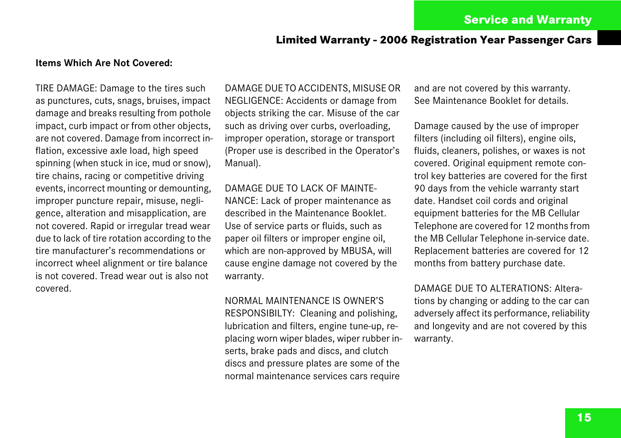#### **Items Which Are Not Covered:**

TIRE DAMAGE: Damage to the tires such as punctures, cuts, snags, bruises, impact damage and breaks resulting from pothole impact, curb impact or from other objects, are not covered. Damage from incorrect inflation, excessive axle load, high speed spinning (when stuck in ice, mud or snow), tire chains, racing or competitive driving events, incorrect mounting or demounting, improper puncture repair, misuse, negligence, alteration and misapplication, are not covered. Rapid or irregular tread wear due to lack of tire rotation according to the tire manufacturer's recommendations or incorrect wheel alignment or tire balance is not covered. Tread wear out is also not covered.

DAMAGE DUE TO ACCIDENTS, MISUSE OR NEGLIGENCE: Accidents or damage from objects striking the car. Misuse of the car such as driving over curbs, overloading, improper operation, storage or transport (Proper use is described in the Operator's Manual).

#### DAMAGE DUE TO LACK OF MAINTE-

NANCE: Lack of proper maintenance as described in the Maintenance Booklet. Use of service parts or fluids, such as paper oil filters or improper engine oil, which are non-approved by MBUSA, will cause engine damage not covered by the warranty.

NORMAL MAINTENANCE IS OWNER'S RESPONSIBILTY: Cleaning and polishing, lubrication and filters, engine tune-up, replacing worn wiper blades, wiper rubber inserts, brake pads and discs, and clutch discs and pressure plates are some of the normal maintenance services cars require

and are not covered by this warranty. See Maintenance Booklet for details.

Damage caused by the use of improper filters (including oil filters), engine oils, fluids, cleaners, polishes, or waxes is not covered. Original equipment remote control key batteries are covered for the first 90 days from the vehicle warranty start date. Handset coil cords and original equipment batteries for the MB Cellular Telephone are covered for 12 months from the MB Cellular Telephone in-service date. Replacement batteries are covered for 12 months from battery purchase date.

DAMAGE DUE TO ALTERATIONS: Alterations by changing or adding to the car can adversely affect its performance, reliability and longevity and are not covered by this warranty.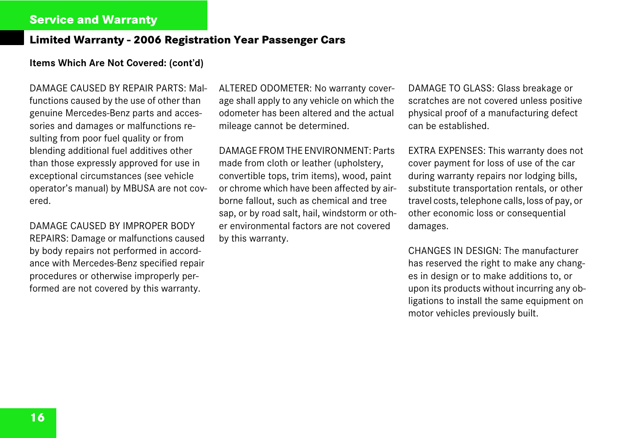#### **Items Which Are Not Covered: (cont'd)**

DAMAGE CAUSED BY REPAIR PARTS: Malfunctions caused by the use of other than genuine Mercedes-Benz parts and accessories and damages or malfunctions resulting from poor fuel quality or from blending additional fuel additives other than those expressly approved for use in exceptional circumstances (see vehicle operator's manual) by MBUSA are not covered.

DAMAGE CAUSED BY IMPROPER BODY REPAIRS: Damage or malfunctions caused by body repairs not performed in accordance with Mercedes-Benz specified repair procedures or otherwise improperly performed are not covered by this warranty.

ALTERED ODOMETER: No warranty coverage shall apply to any vehicle on which the odometer has been altered and the actual mileage cannot be determined.

DAMAGE FROM THE ENVIRONMENT: Parts made from cloth or leather (upholstery, convertible tops, trim items), wood, paint or chrome which have been affected by airborne fallout, such as chemical and tree sap, or by road salt, hail, windstorm or other environmental factors are not covered by this warranty.

DAMAGE TO GLASS: Glass breakage or scratches are not covered unless positive physical proof of a manufacturing defect can be established.

EXTRA EXPENSES: This warranty does not cover payment for loss of use of the car during warranty repairs nor lodging bills, substitute transportation rentals, or other travel costs, telephone calls, loss of pay, or other economic loss or consequential damages.

CHANGES IN DESIGN: The manufacturer has reserved the right to make any changes in design or to make additions to, or upon its products without incurring any obligations to install the same equipment on motor vehicles previously built.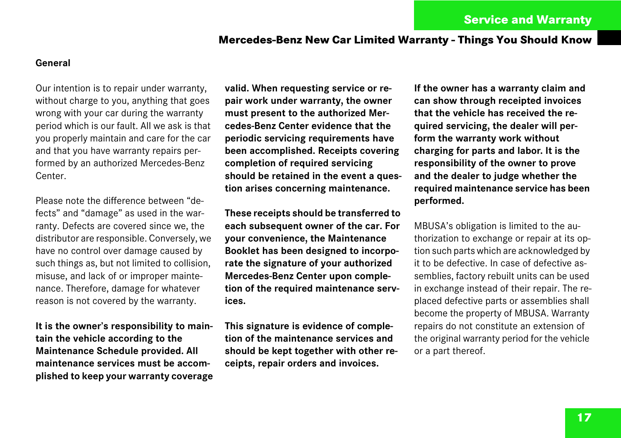#### **Mercedes-Benz New Car Limited Warranty - Things You Should Know**

#### **General**

Our intention is to repair under warranty, without charge to you, anything that goes wrong with your car during the warranty period which is our fault. All we ask is that you properly maintain and care for the car and that you have warranty repairs performed by an authorized Mercedes-Benz Center.

Please note the difference between "defects" and "damage" as used in the warranty. Defects are covered since we, the distributor are responsible. Conversely, we have no control over damage caused by such things as, but not limited to collision, misuse, and lack of or improper maintenance. Therefore, damage for whatever reason is not covered by the warranty.

**It is the owner's responsibility to maintain the vehicle according to the Maintenance Schedule provided. All maintenance services must be accomplished to keep your warranty coverage** **valid. When requesting service or repair work under warranty, the owner must present to the authorized Mercedes-Benz Center evidence that the periodic servicing requirements have been accomplished. Receipts covering completion of required servicing should be retained in the event a question arises concerning maintenance.** 

**These receipts should be transferred to each subsequent owner of the car. For your convenience, the Maintenance Booklet has been designed to incorporate the signature of your authorized Mercedes-Benz Center upon completion of the required maintenance services.**

**This signature is evidence of completion of the maintenance services and should be kept together with other receipts, repair orders and invoices.** 

**If the owner has a warranty claim and can show through receipted invoices that the vehicle has received the required servicing, the dealer will perform the warranty work without charging for parts and labor. It is the responsibility of the owner to prove and the dealer to judge whether the required maintenance service has been performed.** 

MBUSA's obligation is limited to the authorization to exchange or repair at its option such parts which are acknowledged by it to be defective. In case of defective assemblies, factory rebuilt units can be used in exchange instead of their repair. The replaced defective parts or assemblies shall become the property of MBUSA. Warranty repairs do not constitute an extension of the original warranty period for the vehicle or a part thereof.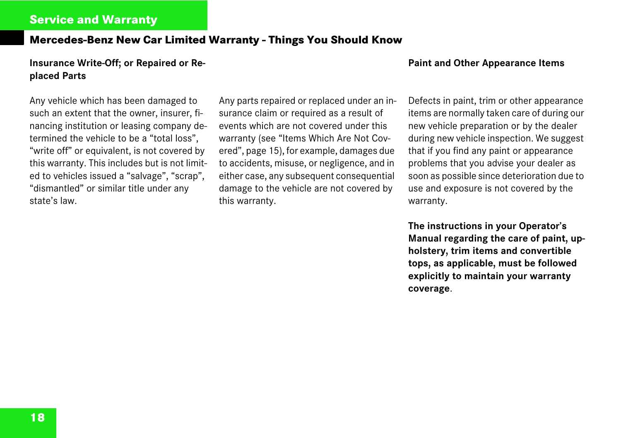### **Mercedes-Benz New Car Limited Warranty - Things You Should Know**

### **Insurance Write-Off; or Repaired or Replaced Parts**

Any vehicle which has been damaged to such an extent that the owner, insurer, financing institution or leasing company determined the vehicle to be a "total loss", "write off" or equivalent, is not covered by this warranty. This includes but is not limited to vehicles issued a "salvage", "scrap", "dismantled" or similar title under any state's law.

Any parts repaired or replaced under an insurance claim or required as a result of events which are not covered under this warranty (see "Items Which Are Not Covered", page 15), for example, damages due to accidents, misuse, or negligence, and in either case, any subsequent consequential damage to the vehicle are not covered by this warranty.

#### **Paint and Other Appearance Items**

Defects in paint, trim or other appearance items are normally taken care of during our new vehicle preparation or by the dealer during new vehicle inspection. We suggest that if you find any paint or appearance problems that you advise your dealer as soon as possible since deterioration due to use and exposure is not covered by the warranty.

**The instructions in your Operator's Manual regarding the care of paint, upholstery, trim items and convertible tops, as applicable, must be followed explicitly to maintain your warranty coverage**.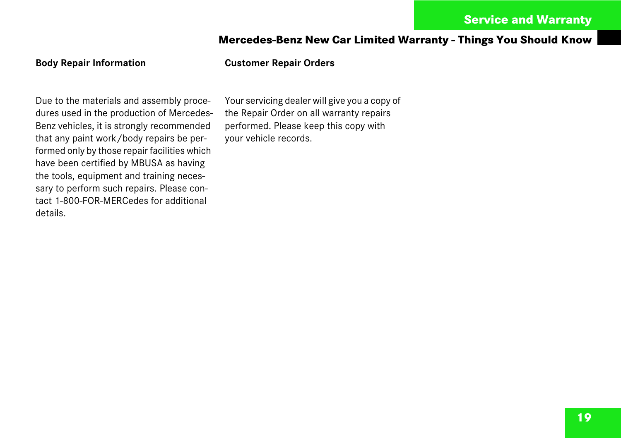# **Mercedes-Benz New Car Limited Warranty - Things You Should Know**

#### **Body Repair Information**

#### **Customer Repair Orders**

Due to the materials and assembly procedures used in the production of Mercedes-Benz vehicles, it is strongly recommended that any paint work/body repairs be performed only by those repair facilities which have been certified by MBUSA as having the tools, equipment and training necessary to perform such repairs. Please contact 1-800-FOR-MERCedes for additional details.

Your servicing dealer will give you a copy of the Repair Order on all warranty repairs performed. Please keep this copy with your vehicle records.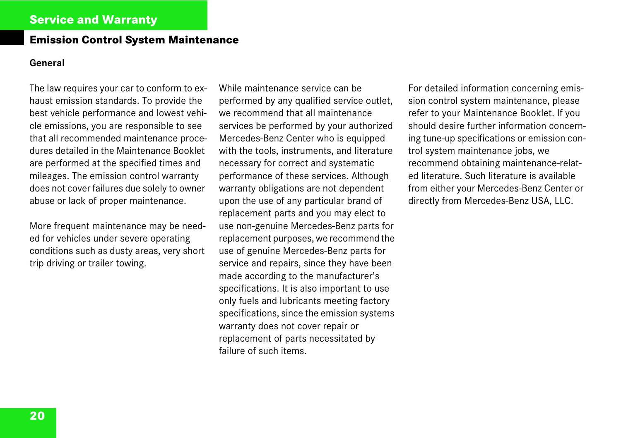### **Service and Warranty**

#### **Emission Control System Maintenance**

#### **General**

The law requires your car to conform to exhaust emission standards. To provide the best vehicle performance and lowest vehicle emissions, you are responsible to see that all recommended maintenance procedures detailed in the Maintenance Booklet are performed at the specified times and mileages. The emission control warranty does not cover failures due solely to owner abuse or lack of proper maintenance.

More frequent maintenance may be needed for vehicles under severe operating conditions such as dusty areas, very short trip driving or trailer towing.

While maintenance service can be performed by any qualified service outlet, we recommend that all maintenance services be performed by your authorized Mercedes-Benz Center who is equipped with the tools, instruments, and literature necessary for correct and systematic performance of these services. Although warranty obligations are not dependent upon the use of any particular brand of replacement parts and you may elect to use non-genuine Mercedes-Benz parts for replacement purposes, we recommend the use of genuine Mercedes-Benz parts for service and repairs, since they have been made according to the manufacturer's specifications. It is also important to use only fuels and lubricants meeting factory specifications, since the emission systems warranty does not cover repair or replacement of parts necessitated by failure of such items.

For detailed information concerning emission control system maintenance, please refer to your Maintenance Booklet. If you should desire further information concerning tune-up specifications or emission control system maintenance jobs, we recommend obtaining maintenance-related literature. Such literature is available from either your Mercedes-Benz Center or directly from Mercedes-Benz USA, LLC.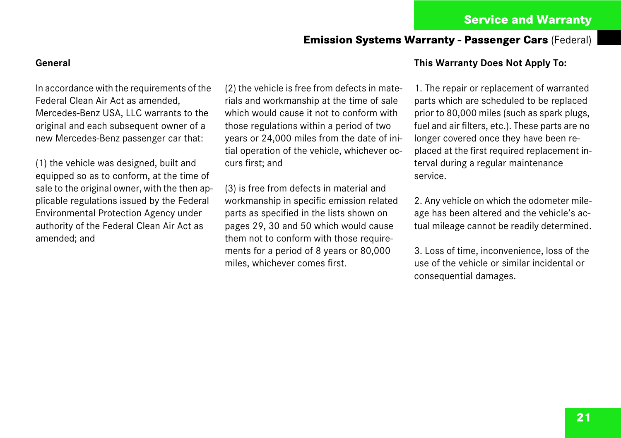### **Emission Systems Warranty - Passenger Cars** (Federal)

#### **General**

In accordance with the requirements of the Federal Clean Air Act as amended, Mercedes-Benz USA, LLC warrants to the original and each subsequent owner of a new Mercedes-Benz passenger car that:

(1) the vehicle was designed, built and equipped so as to conform, at the time of sale to the original owner, with the then applicable regulations issued by the Federal Environmental Protection Agency under authority of the Federal Clean Air Act as amended; and

(2) the vehicle is free from defects in materials and workmanship at the time of sale which would cause it not to conform with those regulations within a period of two years or 24,000 miles from the date of initial operation of the vehicle, whichever occurs first; and

(3) is free from defects in material and workmanship in specific emission related parts as specified in the lists shown on pages [29](#page-30-0), [30](#page-31-0) and [50](#page-51-0) which would cause them not to conform with those requirements for a period of 8 years or 80,000 miles, whichever comes first.

#### **This Warranty Does Not Apply To:**

1. The repair or replacement of warranted parts which are scheduled to be replaced prior to 80,000 miles (such as spark plugs, fuel and air filters, etc.). These parts are no longer covered once they have been replaced at the first required replacement interval during a regular maintenance service.

2. Any vehicle on which the odometer mileage has been altered and the vehicle's actual mileage cannot be readily determined.

3. Loss of time, inconvenience, loss of the use of the vehicle or similar incidental or consequential damages.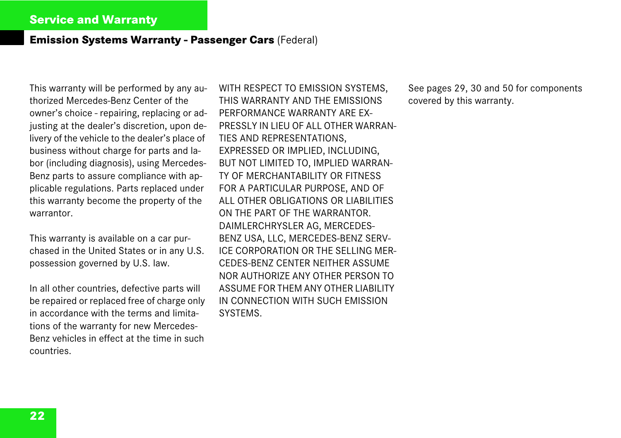### **Emission Systems Warranty - Passenger Cars** (Federal)

This warranty will be performed by any authorized Mercedes-Benz Center of the owner's choice - repairing, replacing or adjusting at the dealer's discretion, upon delivery of the vehicle to the dealer's place of business without charge for parts and labor (including diagnosis), using Mercedes-Benz parts to assure compliance with applicable regulations. Parts replaced under this warranty become the property of the warrantor.

This warranty is available on a car purchased in the United States or in any U.S. possession governed by U.S. law.

In all other countries, defective parts will be repaired or replaced free of charge only in accordance with the terms and limitations of the warranty for new Mercedes-Benz vehicles in effect at the time in such countries.

WITH RESPECT TO EMISSION SYSTEMS, THIS WARRANTY AND THE EMISSIONS PERFORMANCE WARRANTY ARE EX-PRESSLY IN LIEU OF ALL OTHER WARRAN-TIES AND REPRESENTATIONS, EXPRESSED OR IMPLIED, INCLUDING, BUT NOT LIMITED TO, IMPLIED WARRAN-TY OF MERCHANTABILITY OR FITNESS FOR A PARTICULAR PURPOSE, AND OF ALL OTHER OBLIGATIONS OR LIABILITIES ON THE PART OF THE WARRANTOR. DAIMLERCHRYSLER AG, MERCEDES-BENZ USA, LLC, MERCEDES-BENZ SERV-ICE CORPORATION OR THE SELLING MER-CEDES-BENZ CENTER NEITHER ASSUME NOR AUTHORIZE ANY OTHER PERSON TO ASSUME FOR THEM ANY OTHER LIABILITY IN CONNECTION WITH SUCH EMISSION SYSTEMS.

See pages [29,](#page-30-0) [30](#page-31-0) and [50](#page-51-0) for components covered by this warranty.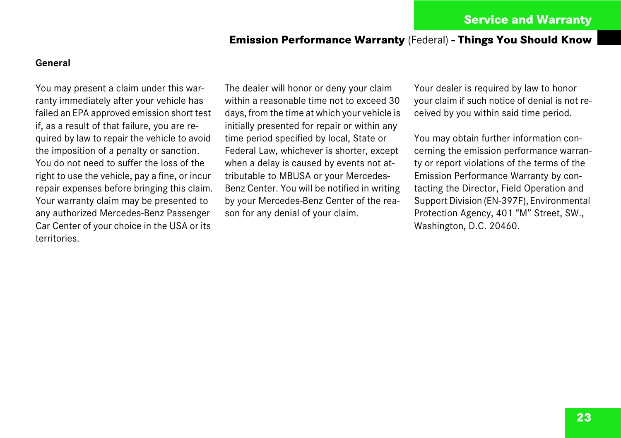### **Emission Performance Warranty** (Federal) **- Things You Should Know**

#### **General**

You may present a claim under this warranty immediately after your vehicle has failed an EPA approved emission short test if, as a result of that failure, you are required by law to repair the vehicle to avoid the imposition of a penalty or sanction. You do not need to suffer the loss of the right to use the vehicle, pay a fine, or incur repair expenses before bringing this claim. Your warranty claim may be presented to any authorized Mercedes-Benz Passenger Car Center of your choice in the USA or its territories.

The dealer will honor or deny your claim within a reasonable time not to exceed 30 days, from the time at which your vehicle is initially presented for repair or within any time period specified by local, State or Federal Law, whichever is shorter, except when a delay is caused by events not attributable to MBUSA or your Mercedes-Benz Center. You will be notified in writing by your Mercedes-Benz Center of the reason for any denial of your claim.

Your dealer is required by law to honor your claim if such notice of denial is not received by you within said time period.

You may obtain further information concerning the emission performance warranty or report violations of the terms of the Emission Performance Warranty by contacting the Director, Field Operation and Support Division (EN-397F), Environmental Protection Agency, 401 "M" Street, SW., Washington, D.C. 20460.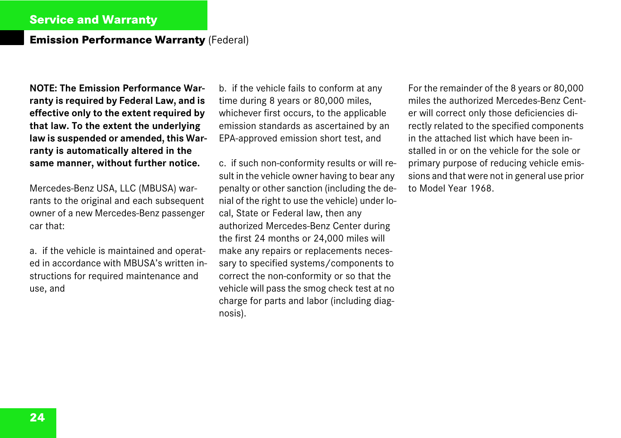**NOTE: The Emission Performance Warranty is required by Federal Law, and is effective only to the extent required by that law. To the extent the underlying law is suspended or amended, this Warranty is automatically altered in the same manner, without further notice.**

Mercedes-Benz USA, LLC (MBUSA) warrants to the original and each subsequent owner of a new Mercedes-Benz passenger car that:

a. if the vehicle is maintained and operated in accordance with MBUSA's written instructions for required maintenance and use, and

b. if the vehicle fails to conform at any time during 8 years or 80,000 miles, whichever first occurs, to the applicable emission standards as ascertained by an EPA-approved emission short test, and

c. if such non-conformity results or will result in the vehicle owner having to bear any penalty or other sanction (including the denial of the right to use the vehicle) under local, State or Federal law, then any authorized Mercedes-Benz Center during the first 24 months or 24,000 miles will make any repairs or replacements necessary to specified systems/components to correct the non-conformity or so that the vehicle will pass the smog check test at no charge for parts and labor (including diagnosis).

For the remainder of the 8 years or 80,000 miles the authorized Mercedes-Benz Center will correct only those deficiencies directly related to the specified components in the attached list which have been installed in or on the vehicle for the sole or primary purpose of reducing vehicle emissions and that were not in general use prior to Model Year 1968.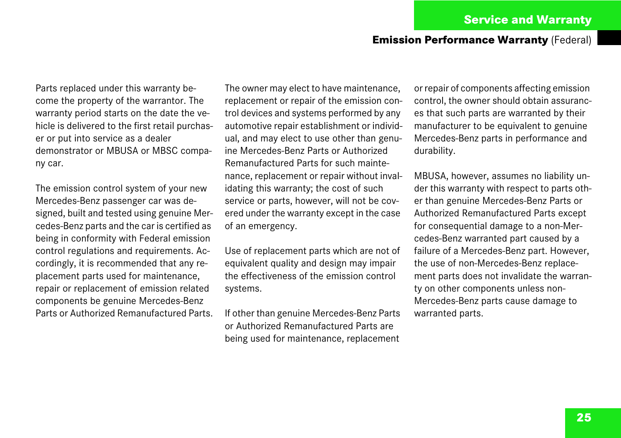Parts replaced under this warranty become the property of the warrantor. The warranty period starts on the date the vehicle is delivered to the first retail purchaser or put into service as a dealer demonstrator or MBUSA or MBSC company car.

The emission control system of your new Mercedes-Benz passenger car was designed, built and tested using genuine Mercedes-Benz parts and the car is certified as being in conformity with Federal emission control regulations and requirements. Accordingly, it is recommended that any replacement parts used for maintenance, repair or replacement of emission related components be genuine Mercedes-Benz Parts or Authorized Remanufactured Parts.

The owner may elect to have maintenance, replacement or repair of the emission control devices and systems performed by any automotive repair establishment or individual, and may elect to use other than genuine Mercedes-Benz Parts or Authorized Remanufactured Parts for such maintenance, replacement or repair without invalidating this warranty; the cost of such service or parts, however, will not be covered under the warranty except in the case of an emergency.

Use of replacement parts which are not of equivalent quality and design may impair the effectiveness of the emission control systems.

If other than genuine Mercedes-Benz Parts or Authorized Remanufactured Parts are being used for maintenance, replacement or repair of components affecting emission control, the owner should obtain assurances that such parts are warranted by their manufacturer to be equivalent to genuine Mercedes-Benz parts in performance and durability.

MBUSA, however, assumes no liability under this warranty with respect to parts other than genuine Mercedes-Benz Parts or Authorized Remanufactured Parts except for consequential damage to a non-Mercedes-Benz warranted part caused by a failure of a Mercedes-Benz part. However, the use of non-Mercedes-Benz replacement parts does not invalidate the warranty on other components unless non-Mercedes-Benz parts cause damage to warranted parts.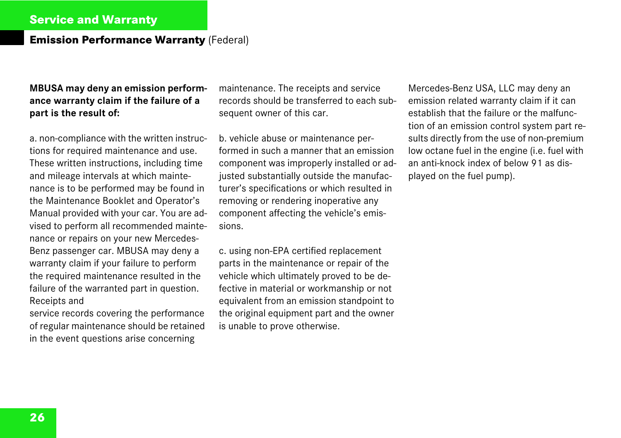### **MBUSA may deny an emission performance warranty claim if the failure of a part is the result of:**

a. non-compliance with the written instructions for required maintenance and use. These written instructions, including time and mileage intervals at which maintenance is to be performed may be found in the Maintenance Booklet and Operator's Manual provided with your car. You are advised to perform all recommended maintenance or repairs on your new Mercedes-Benz passenger car. MBUSA may deny a warranty claim if your failure to perform the required maintenance resulted in the failure of the warranted part in question. Receipts and

service records covering the performance of regular maintenance should be retained in the event questions arise concerning

maintenance. The receipts and service records should be transferred to each subsequent owner of this car.

b. vehicle abuse or maintenance performed in such a manner that an emission component was improperly installed or adjusted substantially outside the manufacturer's specifications or which resulted in removing or rendering inoperative any component affecting the vehicle's emissions.

c. using non-EPA certified replacement parts in the maintenance or repair of the vehicle which ultimately proved to be defective in material or workmanship or not equivalent from an emission standpoint to the original equipment part and the owner is unable to prove otherwise.

Mercedes-Benz USA, LLC may deny an emission related warranty claim if it can establish that the failure or the malfunction of an emission control system part results directly from the use of non-premium low octane fuel in the engine (i.e. fuel with an anti-knock index of below 91 as displayed on the fuel pump).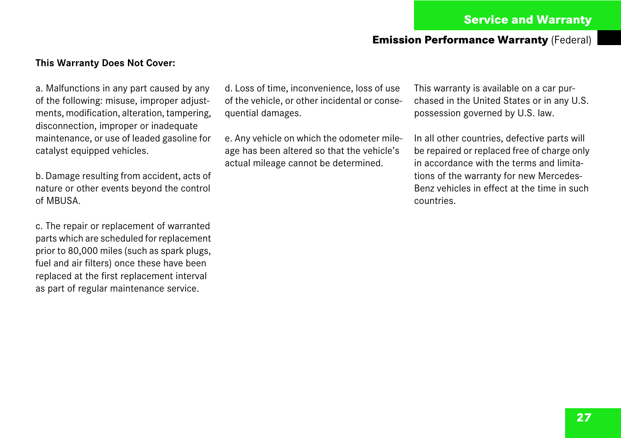#### **This Warranty Does Not Cover:**

a. Malfunctions in any part caused by any of the following: misuse, improper adjustments, modification, alteration, tampering, disconnection, improper or inadequate maintenance, or use of leaded gasoline for catalyst equipped vehicles.

b. Damage resulting from accident, acts of nature or other events beyond the control of MBUSA.

c. The repair or replacement of warranted parts which are scheduled for replacement prior to 80,000 miles (such as spark plugs, fuel and air filters) once these have been replaced at the first replacement interval as part of regular maintenance service.

d. Loss of time, inconvenience, loss of use of the vehicle, or other incidental or consequential damages.

e. Any vehicle on which the odometer mileage has been altered so that the vehicle's actual mileage cannot be determined.

This warranty is available on a car purchased in the United States or in any U.S. possession governed by U.S. law.

In all other countries, defective parts will be repaired or replaced free of charge only in accordance with the terms and limitations of the warranty for new Mercedes-Benz vehicles in effect at the time in such countries.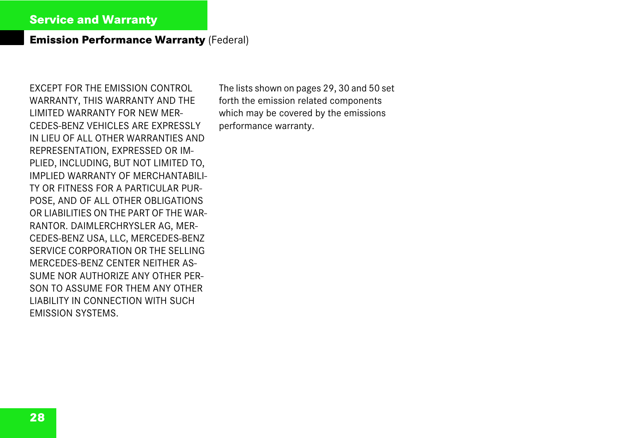EXCEPT FOR THE EMISSION CONTROL WARRANTY, THIS WARRANTY AND THE LIMITED WARRANTY FOR NEW MER-CEDES-BENZ VEHICLES ARE EXPRESSLY IN LIEU OF ALL OTHER WARRANTIES AND REPRESENTATION, EXPRESSED OR IM-PLIED, INCLUDING, BUT NOT LIMITED TO, IMPLIED WARRANTY OF MERCHANTABILI-TY OR FITNESS FOR A PARTICULAR PUR-POSE, AND OF ALL OTHER OBLIGATIONS OR LIABILITIES ON THE PART OF THE WAR-RANTOR. DAIMLERCHRYSLER AG, MER-CEDES-BENZ USA, LLC, MERCEDES-BENZ SERVICE CORPORATION OR THE SELLING MERCEDES-BENZ CENTER NEITHER AS-SUME NOR AUTHORIZE ANY OTHER PER-SON TO ASSUME FOR THEM ANY OTHER LIABILITY IN CONNECTION WITH SUCH EMISSION SYSTEMS.

The lists shown on pages [29](#page-30-0), [30](#page-31-0) and [50](#page-51-0) set forth the emission related components which may be covered by the emissions performance warranty.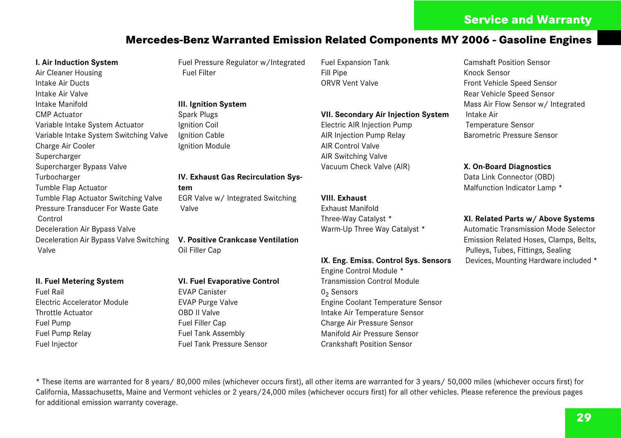### **Mercedes-Benz Warranted Emission Related Components MY 2006 - Gasoline Engines**

#### <span id="page-30-0"></span>**I. Air Induction System**

Air Cleaner Housing Intake Air Ducts Intake Air Valve Intake Manifold CMP Actuator Variable Intake System Actuator Variable Intake System Switching Valve Charge Air Cooler Supercharger Supercharger Bypass Valve Turbocharger Tumble Flap Actuator Tumble Flap Actuator Switching Valve Pressure Transducer For Waste Gate Control Deceleration Air Bypass Valve Deceleration Air Bypass Valve Switching **V. Positive Crankcase Ventilation** Valve

#### **II. Fuel Metering System**

Fuel Rail Electric Accelerator Module Throttle Actuator Fuel Pump Fuel Pump Relay Fuel Injector

Fuel Pressure Regulator w/Integrated Fuel Filter

**III. Ignition System** Spark Plugs Ignition Coil Ignition Cable Ignition Module

**IV. Exhaust Gas Recirculation System** EGR Valve w/ Integrated Switching Valve

Oil Filler Cap

#### **VI. Fuel Evaporative Control**

EVAP Canister EVAP Purge Valve OBD II Valve Fuel Filler Cap Fuel Tank Assembly Fuel Tank Pressure Sensor Fuel Expansion Tank Fill Pipe ORVR Vent Valve

**VII. Secondary Air Injection System** Electric AIR Injection Pump AIR Injection Pump Relay AIR Control Valve AIR Switching Valve Vacuum Check Valve (AIR)

#### **VIII. Exhaust**

Exhaust Manifold Three-Way Catalyst **\*** Warm-Up Three Way Catalyst **\***

#### **IX. Eng. Emiss. Control Sys. Sensors**

Engine Control Module **\*** Transmission Control Module  $0<sub>2</sub>$  Sensors Engine Coolant Temperature Sensor Intake Air Temperature Sensor Charge Air Pressure Sensor Manifold Air Pressure Sensor Crankshaft Position Sensor

Camshaft Position Sensor Knock Sensor Front Vehicle Speed Sensor Rear Vehicle Speed Sensor Mass Air Flow Sensor w/ Integrated Intake Air Temperature Sensor Barometric Pressure Sensor

**X. On-Board Diagnostics** Data Link Connector (OBD) Malfunction Indicator Lamp **\***

#### **XI. Related Parts w/ Above Systems**

Automatic Transmission Mode Selector Emission Related Hoses, Clamps, Belts, Pulleys, Tubes, Fittings, Sealing Devices, Mounting Hardware included **\***

**\*** These items are warranted for 8 years/ 80,000 miles (whichever occurs first), all other items are warranted for 3 years/ 50,000 miles (whichever occurs first) for California, Massachusetts, Maine and Vermont vehicles or 2 years/24,000 miles (whichever occurs first) for all other vehicles. Please reference the previous pages for additional emission warranty coverage.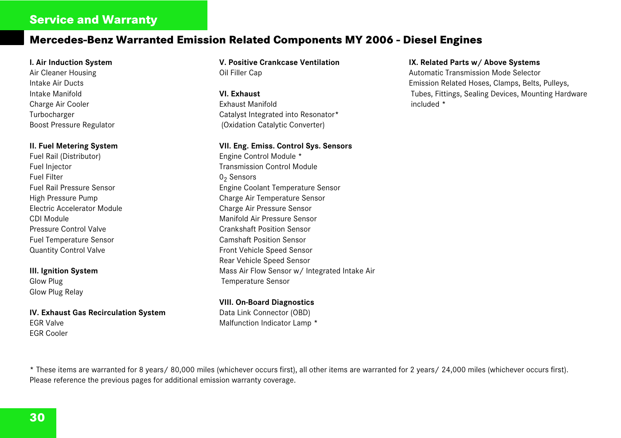### **Service and Warranty**

### <span id="page-31-0"></span>**Mercedes-Benz Warranted Emission Related Components MY 2006 - Diesel Engines**

#### **I. Air Induction System**

Air Cleaner Housing Intake Air Ducts Intake Manifold Charge Air Cooler Turbocharger Boost Pressure Regulator

#### **II. Fuel Metering System**

Fuel Rail (Distributor) Fuel Injector Fuel Filter Fuel Rail Pressure Sensor High Pressure Pump Electric Accelerator Module CDI Module Pressure Control Valve Fuel Temperature Sensor Quantity Control Valve

#### **III. Ignition System** Glow Plug Glow Plug Relay

**IV. Exhaust Gas Recirculation System** EGR Valve EGR Cooler

#### **V. Positive Crankcase Ventilation** Oil Filler Cap

**VI. Exhaust** Exhaust Manifold Catalyst Integrated into Resonator**\*** (Oxidation Catalytic Converter)

#### **VII. Eng. Emiss. Control Sys. Sensors**

Engine Control Module **\*** Transmission Control Module  $0<sub>2</sub>$  Sensors Engine Coolant Temperature Sensor Charge Air Temperature Sensor Charge Air Pressure Sensor Manifold Air Pressure Sensor Crankshaft Position Sensor Camshaft Position Sensor Front Vehicle Speed Sensor Rear Vehicle Speed Sensor Mass Air Flow Sensor w/ Integrated Intake Air Temperature Sensor

**VIII. On-Board Diagnostics** Data Link Connector (OBD) Malfunction Indicator Lamp **\***

#### **IX. Related Parts w/ Above Systems**

Automatic Transmission Mode Selector Emission Related Hoses, Clamps, Belts, Pulleys, Tubes, Fittings, Sealing Devices, Mounting Hardware included **\***

**\*** These items are warranted for 8 years/ 80,000 miles (whichever occurs first), all other items are warranted for 2 years/ 24,000 miles (whichever occurs first). Please reference the previous pages for additional emission warranty coverage.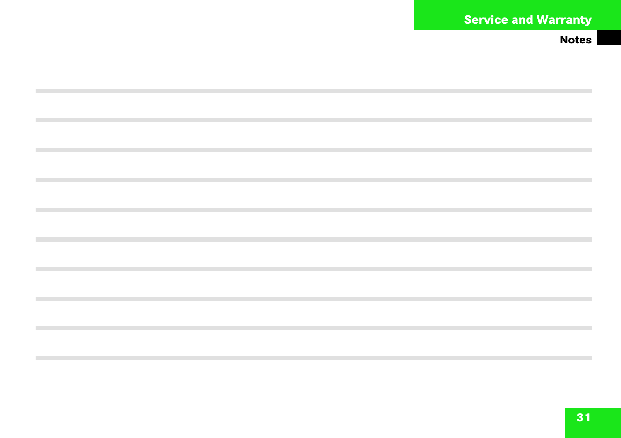$\mathcal{L}^{\mathcal{L}}$ 

 $\mathcal{L}_{\mathcal{A}}$ 

 $\mathcal{L}_{\mathcal{A}}$ 

**COL** 

 $\mathcal{L}_{\mathcal{A}}$ 

**The State**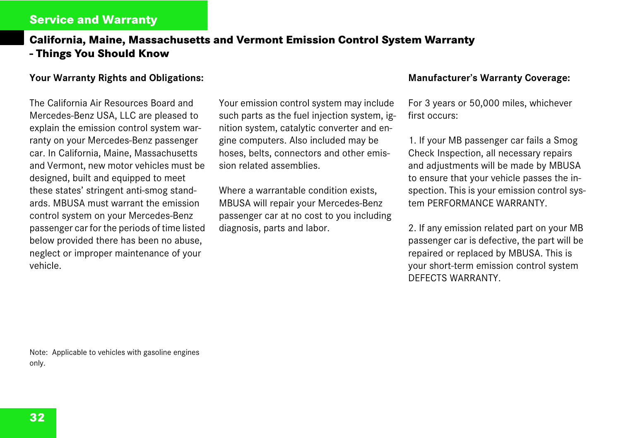### **Service and Warranty**

# <span id="page-33-0"></span>**California, Maine, Massachusetts and Vermont Emission Control System Warranty - Things You Should Know**

#### **Your Warranty Rights and Obligations:**

The California Air Resources Board and Mercedes-Benz USA, LLC are pleased to explain the emission control system warranty on your Mercedes-Benz passenger car. In California, Maine, Massachusetts and Vermont, new motor vehicles must be designed, built and equipped to meet these states' stringent anti-smog standards. MBUSA must warrant the emission control system on your Mercedes-Benz passenger car for the periods of time listed below provided there has been no abuse, neglect or improper maintenance of your vehicle.

Your emission control system may include such parts as the fuel injection system, ignition system, catalytic converter and engine computers. Also included may be hoses, belts, connectors and other emission related assemblies.

Where a warrantable condition exists, MBUSA will repair your Mercedes-Benz passenger car at no cost to you including diagnosis, parts and labor.

#### **Manufacturer's Warranty Coverage:**

For 3 years or 50,000 miles, whichever first occurs:

1. If your MB passenger car fails a Smog Check Inspection, all necessary repairs and adjustments will be made by MBUSA to ensure that your vehicle passes the inspection. This is your emission control system PERFORMANCE WARRANTY.

2. If any emission related part on your MB passenger car is defective, the part will be repaired or replaced by MBUSA. This is your short-term emission control system DEFECTS WARRANTY.

Note: Applicable to vehicles with gasoline engines only.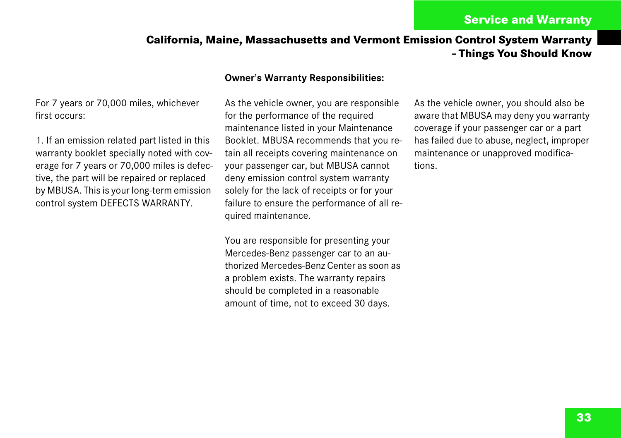# **California, Maine, Massachusetts and Vermont Emission Control System Warranty - Things You Should Know**

#### **Owner's Warranty Responsibilities:**

For 7 years or 70,000 miles, whichever first occurs:

1. If an emission related part listed in this warranty booklet specially noted with coverage for 7 years or 70,000 miles is defective, the part will be repaired or replaced by MBUSA. This is your long-term emission control system DEFECTS WARRANTY.

As the vehicle owner, you are responsible for the performance of the required maintenance listed in your Maintenance Booklet. MBUSA recommends that you retain all receipts covering maintenance on your passenger car, but MBUSA cannot deny emission control system warranty solely for the lack of receipts or for your failure to ensure the performance of all required maintenance.

You are responsible for presenting your Mercedes-Benz passenger car to an authorized Mercedes-Benz Center as soon as a problem exists. The warranty repairs should be completed in a reasonable amount of time, not to exceed 30 days.

As the vehicle owner, you should also be aware that MBUSA may deny you warranty coverage if your passenger car or a part has failed due to abuse, neglect, improper maintenance or unapproved modifications.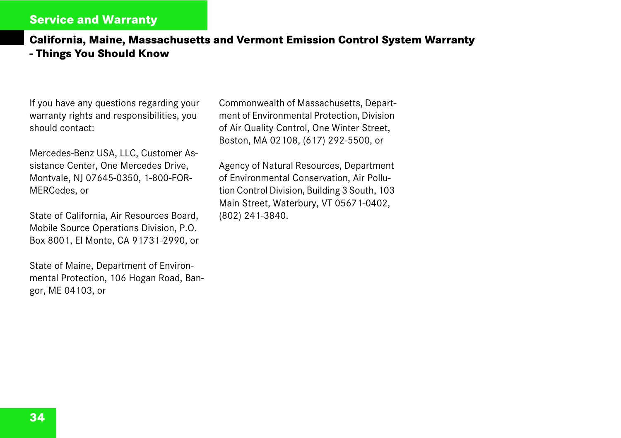### **Service and Warranty**

### **California, Maine, Massachusetts and Vermont Emission Control System Warranty - Things You Should Know**

If you have any questions regarding your warranty rights and responsibilities, you should contact:

Mercedes-Benz USA, LLC, Customer Assistance Center, One Mercedes Drive, Montvale, NJ 07645-0350, 1-800-FOR-MERCedes, or

State of California, Air Resources Board, Mobile Source Operations Division, P.O. Box 8001, El Monte, CA 91731-2990, or

State of Maine, Department of Environmental Protection, 106 Hogan Road, Bangor, ME 04103, or

Commonwealth of Massachusetts, Department of Environmental Protection, Division of Air Quality Control, One Winter Street, Boston, MA 02108, (617) 292-5500, or

Agency of Natural Resources, Department of Environmental Conservation, Air Pollution Control Division, Building 3 South, 103 Main Street, Waterbury, VT 05671-0402, (802) 241-3840.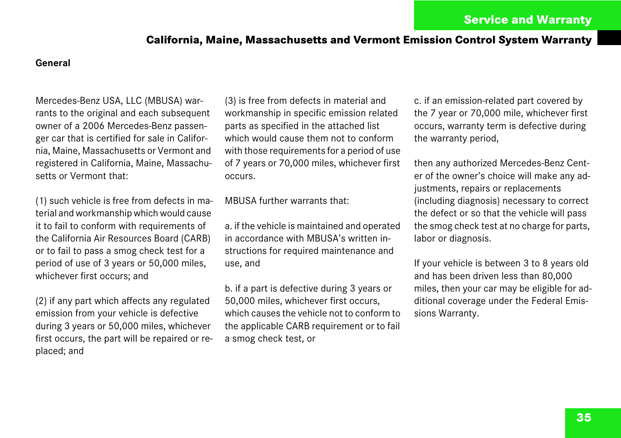#### **General**

Mercedes-Benz USA, LLC (MBUSA) warrants to the original and each subsequent owner of a 2006 Mercedes-Benz passenger car that is certified for sale in California, Maine, Massachusetts or Vermont and registered in California, Maine, Massachusetts or Vermont that:

(1) such vehicle is free from defects in material and workmanship which would cause it to fail to conform with requirements of the California Air Resources Board (CARB) or to fail to pass a smog check test for a period of use of 3 years or 50,000 miles, whichever first occurs; and

(2) if any part which affects any regulated emission from your vehicle is defective during 3 years or 50,000 miles, whichever first occurs, the part will be repaired or replaced; and

(3) is free from defects in material and workmanship in specific emission related parts as specified in the attached list which would cause them not to conform with those requirements for a period of use of 7 years or 70,000 miles, whichever first occurs.

MBUSA further warrants that:

a. if the vehicle is maintained and operated in accordance with MBUSA's written instructions for required maintenance and use, and

b. if a part is defective during 3 years or 50,000 miles, whichever first occurs, which causes the vehicle not to conform to the applicable CARB requirement or to fail a smog check test, or

c. if an emission-related part covered by the 7 year or 70,000 mile, whichever first occurs, warranty term is defective during the warranty period,

then any authorized Mercedes-Benz Center of the owner's choice will make any adjustments, repairs or replacements (including diagnosis) necessary to correct the defect or so that the vehicle will pass the smog check test at no charge for parts, labor or diagnosis.

If your vehicle is between 3 to 8 years old and has been driven less than 80,000 miles, then your car may be eligible for additional coverage under the Federal Emissions Warranty.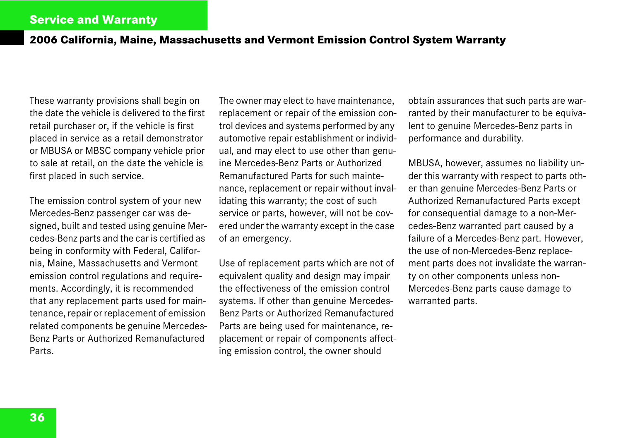<span id="page-37-0"></span>These warranty provisions shall begin on the date the vehicle is delivered to the first retail purchaser or, if the vehicle is first placed in service as a retail demonstrator or MBUSA or MBSC company vehicle prior to sale at retail, on the date the vehicle is first placed in such service.

The emission control system of your new Mercedes-Benz passenger car was designed, built and tested using genuine Mercedes-Benz parts and the car is certified as being in conformity with Federal, California, Maine, Massachusetts and Vermont emission control regulations and requirements. Accordingly, it is recommended that any replacement parts used for maintenance, repair or replacement of emission related components be genuine Mercedes-Benz Parts or Authorized Remanufactured Parts.

The owner may elect to have maintenance, replacement or repair of the emission control devices and systems performed by any automotive repair establishment or individual, and may elect to use other than genuine Mercedes-Benz Parts or Authorized Remanufactured Parts for such maintenance, replacement or repair without invalidating this warranty; the cost of such service or parts, however, will not be covered under the warranty except in the case of an emergency.

Use of replacement parts which are not of equivalent quality and design may impair the effectiveness of the emission control systems. If other than genuine Mercedes-Benz Parts or Authorized Remanufactured Parts are being used for maintenance, replacement or repair of components affecting emission control, the owner should

obtain assurances that such parts are warranted by their manufacturer to be equivalent to genuine Mercedes-Benz parts in performance and durability.

MBUSA, however, assumes no liability under this warranty with respect to parts other than genuine Mercedes-Benz Parts or Authorized Remanufactured Parts except for consequential damage to a non-Mercedes-Benz warranted part caused by a failure of a Mercedes-Benz part. However, the use of non-Mercedes-Benz replacement parts does not invalidate the warranty on other components unless non-Mercedes-Benz parts cause damage to warranted parts.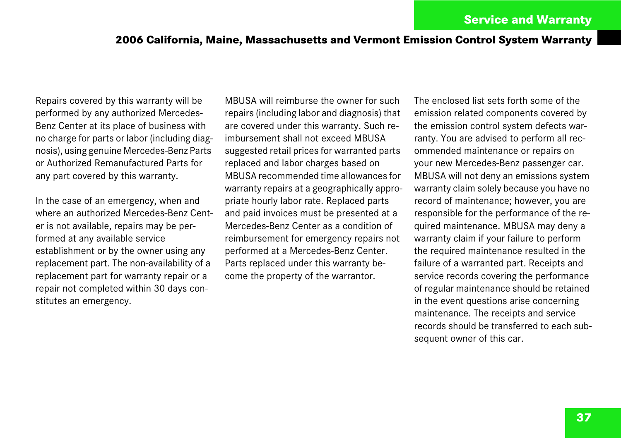Repairs covered by this warranty will be performed by any authorized Mercedes-Benz Center at its place of business with no charge for parts or labor (including diagnosis), using genuine Mercedes-Benz Parts or Authorized Remanufactured Parts for any part covered by this warranty.

In the case of an emergency, when and where an authorized Mercedes-Benz Center is not available, repairs may be performed at any available service establishment or by the owner using any replacement part. The non-availability of a replacement part for warranty repair or a repair not completed within 30 days constitutes an emergency.

MBUSA will reimburse the owner for such repairs (including labor and diagnosis) that are covered under this warranty. Such reimbursement shall not exceed MBUSA suggested retail prices for warranted parts replaced and labor charges based on MBUSA recommended time allowances for warranty repairs at a geographically appropriate hourly labor rate. Replaced parts and paid invoices must be presented at a Mercedes-Benz Center as a condition of reimbursement for emergency repairs not performed at a Mercedes-Benz Center. Parts replaced under this warranty become the property of the warrantor.

The enclosed list sets forth some of the emission related components covered by the emission control system defects warranty. You are advised to perform all recommended maintenance or repairs on your new Mercedes-Benz passenger car. MBUSA will not deny an emissions system warranty claim solely because you have no record of maintenance; however, you are responsible for the performance of the required maintenance. MBUSA may deny a warranty claim if your failure to perform the required maintenance resulted in the failure of a warranted part. Receipts and service records covering the performance of regular maintenance should be retained in the event questions arise concerning maintenance. The receipts and service records should be transferred to each subsequent owner of this car.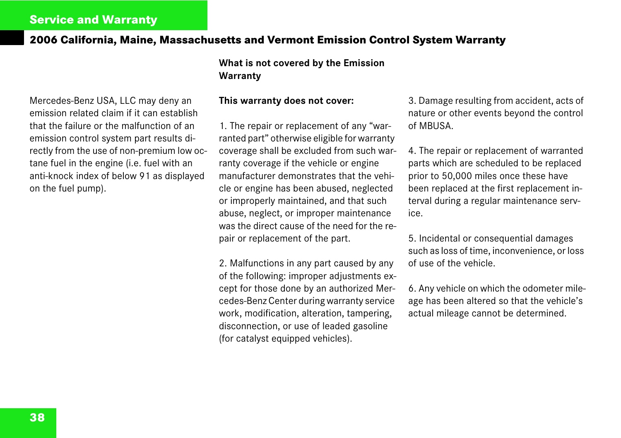**What is not covered by the Emission Warranty**

Mercedes-Benz USA, LLC may deny an emission related claim if it can establish that the failure or the malfunction of an emission control system part results directly from the use of non-premium low octane fuel in the engine (i.e. fuel with an anti-knock index of below 91 as displayed on the fuel pump).

#### **This warranty does not cover:**

1. The repair or replacement of any "warranted part" otherwise eligible for warranty coverage shall be excluded from such warranty coverage if the vehicle or engine manufacturer demonstrates that the vehicle or engine has been abused, neglected or improperly maintained, and that such abuse, neglect, or improper maintenance was the direct cause of the need for the repair or replacement of the part.

2. Malfunctions in any part caused by any of the following: improper adjustments except for those done by an authorized Mercedes-Benz Center during warranty service work, modification, alteration, tampering, disconnection, or use of leaded gasoline (for catalyst equipped vehicles).

3. Damage resulting from accident, acts of nature or other events beyond the control of MBUSA.

4. The repair or replacement of warranted parts which are scheduled to be replaced prior to 50,000 miles once these have been replaced at the first replacement interval during a regular maintenance service.

5. Incidental or consequential damages such as loss of time, inconvenience, or loss of use of the vehicle.

6. Any vehicle on which the odometer mileage has been altered so that the vehicle's actual mileage cannot be determined.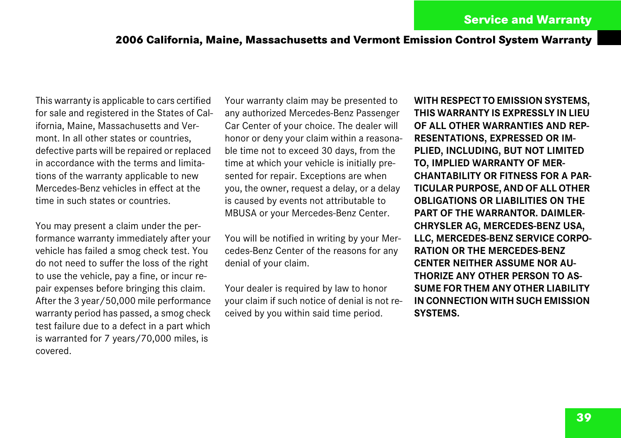This warranty is applicable to cars certified for sale and registered in the States of California, Maine, Massachusetts and Vermont. In all other states or countries, defective parts will be repaired or replaced in accordance with the terms and limitations of the warranty applicable to new Mercedes-Benz vehicles in effect at the time in such states or countries.

You may present a claim under the performance warranty immediately after your vehicle has failed a smog check test. You do not need to suffer the loss of the right to use the vehicle, pay a fine, or incur repair expenses before bringing this claim. After the 3 year/50,000 mile performance warranty period has passed, a smog check test failure due to a defect in a part which is warranted for 7 years/70,000 miles, is covered.

Your warranty claim may be presented to any authorized Mercedes-Benz Passenger Car Center of your choice. The dealer will honor or deny your claim within a reasonable time not to exceed 30 days, from the time at which your vehicle is initially presented for repair. Exceptions are when you, the owner, request a delay, or a delay is caused by events not attributable to MBUSA or your Mercedes-Benz Center.

You will be notified in writing by your Mercedes-Benz Center of the reasons for any denial of your claim.

Your dealer is required by law to honor your claim if such notice of denial is not received by you within said time period.

**WITH RESPECT TO EMISSION SYSTEMS, THIS WARRANTY IS EXPRESSLY IN LIEU OF ALL OTHER WARRANTIES AND REP-RESENTATIONS, EXPRESSED OR IM-PLIED, INCLUDING, BUT NOT LIMITED TO, IMPLIED WARRANTY OF MER-CHANTABILITY OR FITNESS FOR A PAR-TICULAR PURPOSE, AND OF ALL OTHER OBLIGATIONS OR LIABILITIES ON THE PART OF THE WARRANTOR. DAIMLER-CHRYSLER AG, MERCEDES-BENZ USA, LLC, MERCEDES-BENZ SERVICE CORPO-RATION OR THE MERCEDES-BENZ CENTER NEITHER ASSUME NOR AU-THORIZE ANY OTHER PERSON TO AS-SUME FOR THEM ANY OTHER LIABILITY IN CONNECTION WITH SUCH EMISSION SYSTEMS.**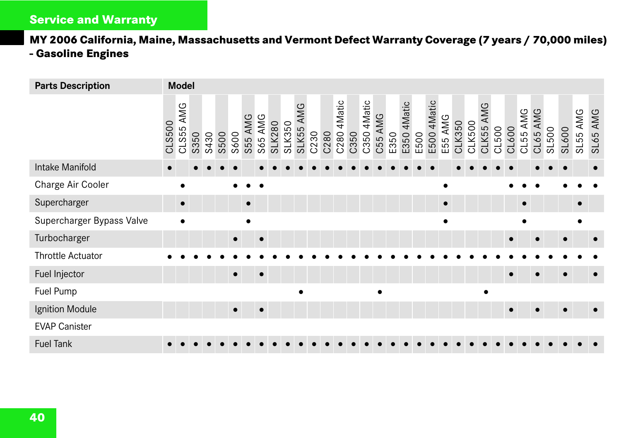# **Service and Warranty**

# <span id="page-41-0"></span>**MY 2006 California, Maine, Massachusetts and Vermont Defect Warranty Coverage (7 years / 70,000 miles) - Gasoline Engines**

| <b>Parts Description</b>  |            | <b>Model</b> |      |      |      |           |           |            |               |        |              |      |      |                |      |                |           |      |                |      |             |           |               |               |              |       |           |             |             |       |       |             |             |
|---------------------------|------------|--------------|------|------|------|-----------|-----------|------------|---------------|--------|--------------|------|------|----------------|------|----------------|-----------|------|----------------|------|-------------|-----------|---------------|---------------|--------------|-------|-----------|-------------|-------------|-------|-------|-------------|-------------|
|                           | .S500<br>ਰ | AMG<br>CLS55 | S350 | S430 | S500 | S600      | S55 AMG   | AMG<br>S65 | <b>SLK280</b> | SLK350 | AMG<br>SLK55 | C230 | C280 | 4Matic<br>C280 | C350 | 4Matic<br>C350 | C55 AMG   | E350 | 4Matic<br>E350 | E500 | E500 4Matic | E55 AMG   | <b>CLK350</b> | <b>CLK500</b> | AMG<br>CLK55 | CL500 | CL600     | AMG<br>CL55 | AMG<br>CL65 | SL500 | SL600 | AMG<br>SL55 | AMG<br>SL65 |
| Intake Manifold           |            |              |      |      |      |           |           |            |               |        |              |      |      |                |      |                |           |      |                |      |             |           |               |               |              |       |           |             |             |       |       |             |             |
| Charge Air Cooler         |            |              |      |      |      |           |           | $\bullet$  |               |        |              |      |      |                |      |                |           |      |                |      |             | $\bullet$ |               |               |              |       |           |             |             |       |       |             |             |
| Supercharger              |            |              |      |      |      |           | $\bullet$ |            |               |        |              |      |      |                |      |                |           |      |                |      |             | $\bullet$ |               |               |              |       |           | $\bullet$   |             |       |       | $\bullet$   |             |
| Supercharger Bypass Valve |            |              |      |      |      |           | $\bullet$ |            |               |        |              |      |      |                |      |                |           |      |                |      |             | $\bullet$ |               |               |              |       |           | $\bullet$   |             |       |       |             |             |
| Turbocharger              |            |              |      |      |      | $\bullet$ |           | $\epsilon$ |               |        |              |      |      |                |      |                |           |      |                |      |             |           |               |               |              |       | $\bullet$ |             | $\epsilon$  |       |       |             |             |
| Throttle Actuator         |            |              |      |      |      |           |           |            |               |        |              |      |      |                |      |                |           |      |                |      |             |           |               |               |              |       |           |             |             |       |       |             |             |
| Fuel Injector             |            |              |      |      |      | $\bullet$ |           |            |               |        |              |      |      |                |      |                |           |      |                |      |             |           |               |               |              |       | $\bullet$ |             |             |       |       |             |             |
| Fuel Pump                 |            |              |      |      |      |           |           |            |               |        | $\bullet$    |      |      |                |      |                | $\bullet$ |      |                |      |             |           |               |               | $\bullet$    |       |           |             |             |       |       |             |             |
| Ignition Module           |            |              |      |      |      |           |           |            |               |        |              |      |      |                |      |                |           |      |                |      |             |           |               |               |              |       |           |             |             |       |       |             |             |
| <b>EVAP Canister</b>      |            |              |      |      |      |           |           |            |               |        |              |      |      |                |      |                |           |      |                |      |             |           |               |               |              |       |           |             |             |       |       |             |             |
| <b>Fuel Tank</b>          |            |              |      |      |      |           |           |            |               |        |              |      |      |                |      |                |           |      |                |      |             |           |               |               |              |       |           |             |             |       |       |             |             |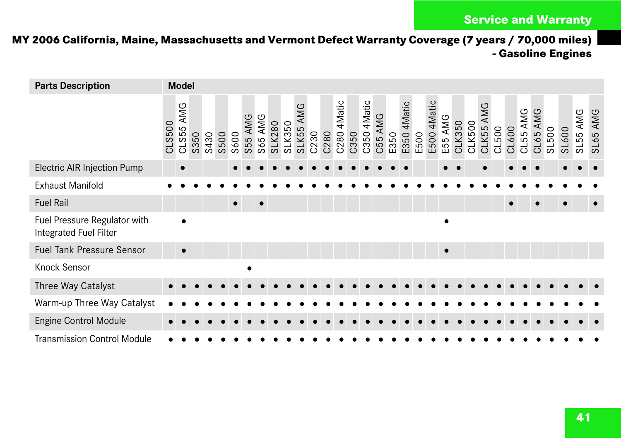**MY 2006 California, Maine, Massachusetts and Vermont Defect Warranty Coverage (7 years / 70,000 miles) - Gasoline Engines**

| <b>Parts Description</b>                               |           | <b>Model</b>     |      |      |      |      |           |         |               |        |                     |      |      |                |      |                |         |      |             |      |             |         |               |               |       |       |       |             |             |       |       |                |             |
|--------------------------------------------------------|-----------|------------------|------|------|------|------|-----------|---------|---------------|--------|---------------------|------|------|----------------|------|----------------|---------|------|-------------|------|-------------|---------|---------------|---------------|-------|-------|-------|-------------|-------------|-------|-------|----------------|-------------|
|                                                        | S500<br>ਰ | AMG<br>5<br>CLS5 | S350 | S430 | S500 | S600 | S55 AMG   | S65 AMG | <b>SLK280</b> | SLK350 | AMG<br><b>SLK55</b> | C230 | C280 | 4Matic<br>C280 | C350 | 4Matic<br>C350 | C55 AMG | E350 | E350 4Matic | E500 | E500 4Matic | E55 AMG | <b>CLK350</b> | <b>CLK500</b> | CLK55 | CL500 | CL600 | AMG<br>CL55 | AMG<br>CL65 | SL500 | SL600 | AMG<br>55<br>ಕ | AMG<br>SL65 |
| Electric AIR Injection Pump                            |           |                  |      |      |      |      |           |         |               |        |                     |      |      |                |      |                |         |      |             |      |             |         |               |               |       |       |       |             |             |       |       |                |             |
| <b>Exhaust Manifold</b>                                |           |                  |      |      |      |      |           |         |               |        |                     |      |      |                |      |                |         |      |             |      |             |         |               |               |       |       |       |             |             |       |       |                |             |
| <b>Fuel Rail</b>                                       |           |                  |      |      |      |      |           |         |               |        |                     |      |      |                |      |                |         |      |             |      |             |         |               |               |       |       |       |             |             |       |       |                |             |
| Fuel Pressure Regulator with<br>Integrated Fuel Filter |           | $\bullet$        |      |      |      |      |           |         |               |        |                     |      |      |                |      |                |         |      |             |      |             | ٠       |               |               |       |       |       |             |             |       |       |                |             |
| Fuel Tank Pressure Sensor                              |           |                  |      |      |      |      |           |         |               |        |                     |      |      |                |      |                |         |      |             |      |             |         |               |               |       |       |       |             |             |       |       |                |             |
| Knock Sensor                                           |           |                  |      |      |      |      | $\bullet$ |         |               |        |                     |      |      |                |      |                |         |      |             |      |             |         |               |               |       |       |       |             |             |       |       |                |             |
| Three Way Catalyst                                     |           |                  |      |      |      |      |           |         |               |        |                     |      |      |                |      |                |         |      |             |      |             |         |               |               |       |       |       |             |             |       |       |                |             |
| Warm-up Three Way Catalyst                             |           |                  |      |      |      |      |           |         |               |        |                     |      |      |                |      |                |         |      |             |      |             |         |               |               |       |       |       |             |             |       |       |                |             |
| <b>Engine Control Module</b>                           |           |                  |      |      |      |      |           |         |               |        |                     |      |      |                |      |                |         |      |             |      |             |         |               |               |       |       |       |             |             |       |       |                |             |
| <b>Transmission Control Module</b>                     |           |                  |      |      |      |      |           |         |               |        |                     |      |      |                |      |                |         |      |             |      |             |         |               |               |       |       |       |             |             |       |       |                |             |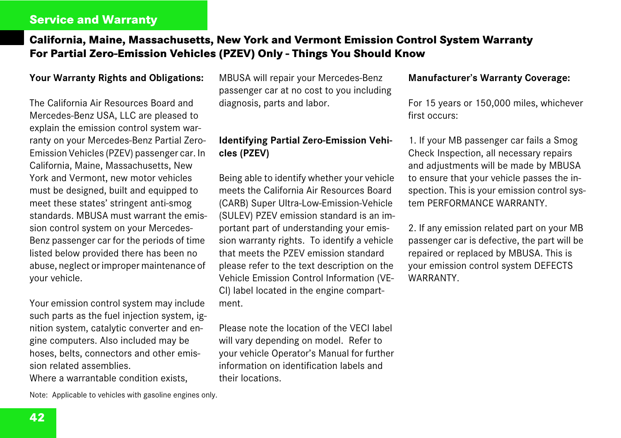### **Service and Warranty**

# <span id="page-43-0"></span>**California, Maine, Massachusetts, New York and Vermont Emission Control System Warranty For Partial Zero-Emission Vehicles (PZEV) Only - Things You Should Know**

#### **Your Warranty Rights and Obligations:**

The California Air Resources Board and Mercedes-Benz USA, LLC are pleased to explain the emission control system warranty on your Mercedes-Benz Partial Zero-Emission Vehicles (PZEV) passenger car. In California, Maine, Massachusetts, New York and Vermont, new motor vehicles must be designed, built and equipped to meet these states' stringent anti-smog standards. MBUSA must warrant the emission control system on your Mercedes-Benz passenger car for the periods of time listed below provided there has been no abuse, neglect or improper maintenance of your vehicle.

Your emission control system may include such parts as the fuel injection system, ignition system, catalytic converter and engine computers. Also included may be hoses, belts, connectors and other emission related assemblies.

Where a warrantable condition exists,

MBUSA will repair your Mercedes-Benz passenger car at no cost to you including diagnosis, parts and labor.

### **Identifying Partial Zero-Emission Vehicles (PZEV)**

Being able to identify whether your vehicle meets the California Air Resources Board (CARB) Super Ultra-Low-Emission-Vehicle (SULEV) PZEV emission standard is an important part of understanding your emission warranty rights. To identify a vehicle that meets the PZEV emission standard please refer to the text description on the Vehicle Emission Control Information (VE-CI) label located in the engine compartment.

Please note the location of the VECI label will vary depending on model. Refer to your vehicle Operator's Manual for further information on identification labels and their locations.

#### **Manufacturer's Warranty Coverage:**

For 15 years or 150,000 miles, whichever first occurs:

1. If your MB passenger car fails a Smog Check Inspection, all necessary repairs and adjustments will be made by MBUSA to ensure that your vehicle passes the inspection. This is your emission control system PERFORMANCE WARRANTY.

2. If any emission related part on your MB passenger car is defective, the part will be repaired or replaced by MBUSA. This is your emission control system DEFECTS WARRANTY.

Note: Applicable to vehicles with gasoline engines only.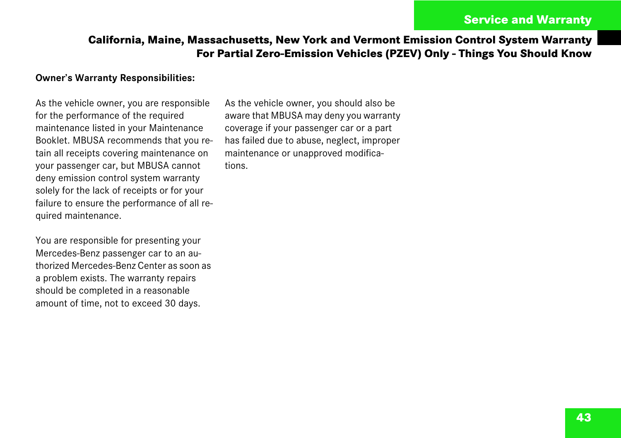### **California, Maine, Massachusetts, New York and Vermont Emission Control System Warranty For Partial Zero-Emission Vehicles (PZEV) Only - Things You Should Know**

#### **Owner's Warranty Responsibilities:**

As the vehicle owner, you are responsible for the performance of the required maintenance listed in your Maintenance Booklet. MBUSA recommends that you retain all receipts covering maintenance on your passenger car, but MBUSA cannot deny emission control system warranty solely for the lack of receipts or for your failure to ensure the performance of all required maintenance.

You are responsible for presenting your Mercedes-Benz passenger car to an authorized Mercedes-Benz Center as soon as a problem exists. The warranty repairs should be completed in a reasonable amount of time, not to exceed 30 days.

As the vehicle owner, you should also be aware that MBUSA may deny you warranty coverage if your passenger car or a part has failed due to abuse, neglect, improper maintenance or unapproved modifications.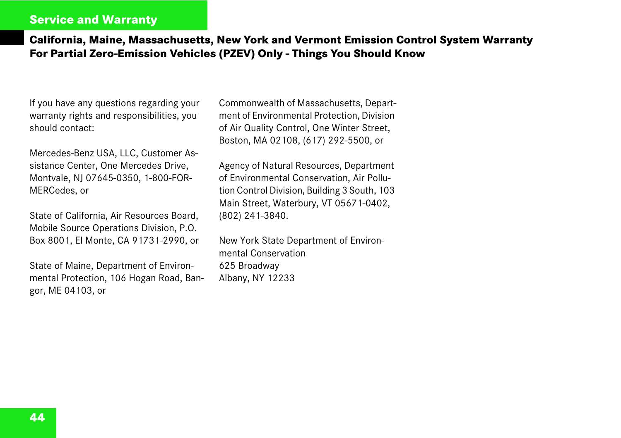### **Service and Warranty**

# **California, Maine, Massachusetts, New York and Vermont Emission Control System Warranty For Partial Zero-Emission Vehicles (PZEV) Only - Things You Should Know**

If you have any questions regarding your warranty rights and responsibilities, you should contact:

Mercedes-Benz USA, LLC, Customer Assistance Center, One Mercedes Drive, Montvale, NJ 07645-0350, 1-800-FOR-MERCedes, or

State of California, Air Resources Board, Mobile Source Operations Division, P.O. Box 8001, El Monte, CA 91731-2990, or

State of Maine, Department of Environmental Protection, 106 Hogan Road, Bangor, ME 04103, or

Commonwealth of Massachusetts, Department of Environmental Protection, Division of Air Quality Control, One Winter Street, Boston, MA 02108, (617) 292-5500, or

Agency of Natural Resources, Department of Environmental Conservation, Air Pollution Control Division, Building 3 South, 103 Main Street, Waterbury, VT 05671-0402, (802) 241-3840.

New York State Department of Environmental Conservation 625 Broadway Albany, NY 12233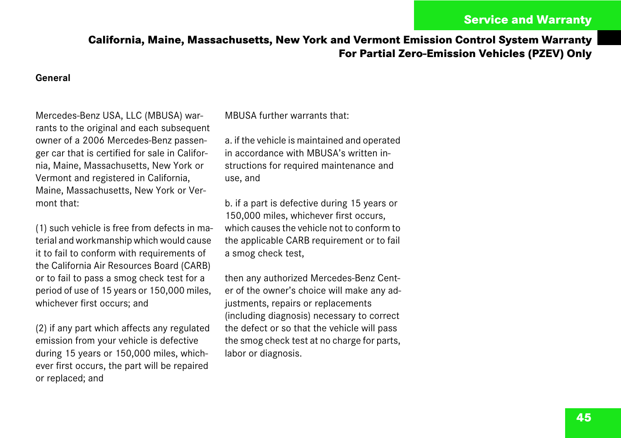# **California, Maine, Massachusetts, New York and Vermont Emission Control System Warranty For Partial Zero-Emission Vehicles (PZEV) Only**

#### **General**

Mercedes-Benz USA, LLC (MBUSA) warrants to the original and each subsequent owner of a 2006 Mercedes-Benz passenger car that is certified for sale in California, Maine, Massachusetts, New York or Vermont and registered in California, Maine, Massachusetts, New York or Vermont that:

(1) such vehicle is free from defects in material and workmanship which would cause it to fail to conform with requirements of the California Air Resources Board (CARB) or to fail to pass a smog check test for a period of use of 15 years or 150,000 miles, whichever first occurs; and

(2) if any part which affects any regulated emission from your vehicle is defective during 15 years or 150,000 miles, whichever first occurs, the part will be repaired or replaced; and

MBUSA further warrants that:

a. if the vehicle is maintained and operated in accordance with MBUSA's written instructions for required maintenance and use, and

b. if a part is defective during 15 years or 150,000 miles, whichever first occurs, which causes the vehicle not to conform to the applicable CARB requirement or to fail a smog check test,

then any authorized Mercedes-Benz Center of the owner's choice will make any adjustments, repairs or replacements (including diagnosis) necessary to correct the defect or so that the vehicle will pass the smog check test at no charge for parts, labor or diagnosis.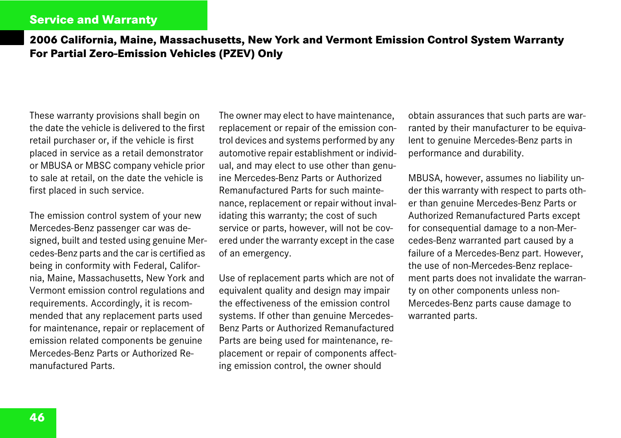### **Service and Warranty**

# <span id="page-47-0"></span>**2006 California, Maine, Massachusetts, New York and Vermont Emission Control System Warranty For Partial Zero-Emission Vehicles (PZEV) Only**

These warranty provisions shall begin on the date the vehicle is delivered to the first retail purchaser or, if the vehicle is first placed in service as a retail demonstrator or MBUSA or MBSC company vehicle prior to sale at retail, on the date the vehicle is first placed in such service.

The emission control system of your new Mercedes-Benz passenger car was designed, built and tested using genuine Mercedes-Benz parts and the car is certified as being in conformity with Federal, California, Maine, Massachusetts, New York and Vermont emission control regulations and requirements. Accordingly, it is recommended that any replacement parts used for maintenance, repair or replacement of emission related components be genuine Mercedes-Benz Parts or Authorized Remanufactured Parts.

The owner may elect to have maintenance, replacement or repair of the emission control devices and systems performed by any automotive repair establishment or individual, and may elect to use other than genuine Mercedes-Benz Parts or Authorized Remanufactured Parts for such maintenance, replacement or repair without invalidating this warranty; the cost of such service or parts, however, will not be covered under the warranty except in the case of an emergency.

Use of replacement parts which are not of equivalent quality and design may impair the effectiveness of the emission control systems. If other than genuine Mercedes-Benz Parts or Authorized Remanufactured Parts are being used for maintenance, replacement or repair of components affecting emission control, the owner should

obtain assurances that such parts are warranted by their manufacturer to be equivalent to genuine Mercedes-Benz parts in performance and durability.

MBUSA, however, assumes no liability under this warranty with respect to parts other than genuine Mercedes-Benz Parts or Authorized Remanufactured Parts except for consequential damage to a non-Mercedes-Benz warranted part caused by a failure of a Mercedes-Benz part. However, the use of non-Mercedes-Benz replacement parts does not invalidate the warranty on other components unless non-Mercedes-Benz parts cause damage to warranted parts.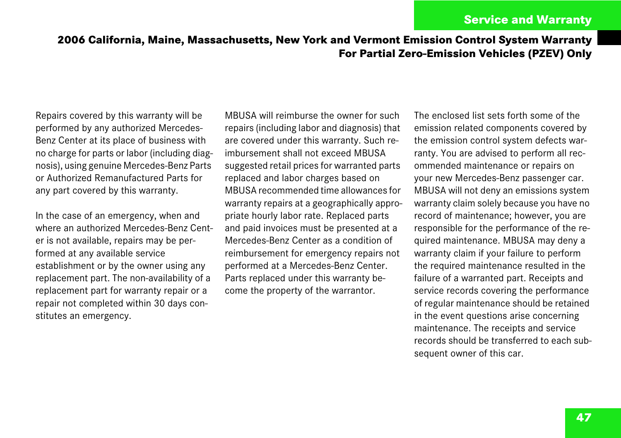# **2006 California, Maine, Massachusetts, New York and Vermont Emission Control System Warranty For Partial Zero-Emission Vehicles (PZEV) Only**

Repairs covered by this warranty will be performed by any authorized Mercedes-Benz Center at its place of business with no charge for parts or labor (including diagnosis), using genuine Mercedes-Benz Parts or Authorized Remanufactured Parts for any part covered by this warranty.

In the case of an emergency, when and where an authorized Mercedes-Benz Center is not available, repairs may be performed at any available service establishment or by the owner using any replacement part. The non-availability of a replacement part for warranty repair or a repair not completed within 30 days constitutes an emergency.

MBUSA will reimburse the owner for such repairs (including labor and diagnosis) that are covered under this warranty. Such reimbursement shall not exceed MBUSA suggested retail prices for warranted parts replaced and labor charges based on MBUSA recommended time allowances for warranty repairs at a geographically appropriate hourly labor rate. Replaced parts and paid invoices must be presented at a Mercedes-Benz Center as a condition of reimbursement for emergency repairs not performed at a Mercedes-Benz Center. Parts replaced under this warranty become the property of the warrantor.

The enclosed list sets forth some of the emission related components covered by the emission control system defects warranty. You are advised to perform all recommended maintenance or repairs on your new Mercedes-Benz passenger car. MBUSA will not deny an emissions system warranty claim solely because you have no record of maintenance; however, you are responsible for the performance of the required maintenance. MBUSA may deny a warranty claim if your failure to perform the required maintenance resulted in the failure of a warranted part. Receipts and service records covering the performance of regular maintenance should be retained in the event questions arise concerning maintenance. The receipts and service records should be transferred to each subsequent owner of this car.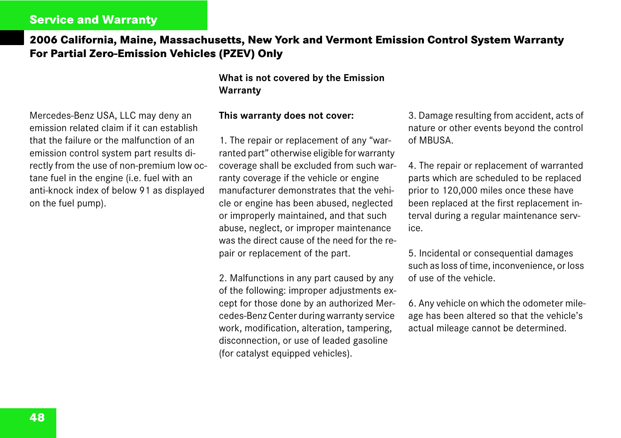### **Service and Warranty**

on the fuel pump).

# **2006 California, Maine, Massachusetts, New York and Vermont Emission Control System Warranty For Partial Zero-Emission Vehicles (PZEV) Only**

#### **What is not covered by the Emission Warranty**

### Mercedes-Benz USA, LLC may deny an emission related claim if it can establish that the failure or the malfunction of an emission control system part results directly from the use of non-premium low octane fuel in the engine (i.e. fuel with an anti-knock index of below 91 as displayed

#### **This warranty does not cover:**

1. The repair or replacement of any "warranted part" otherwise eligible for warranty coverage shall be excluded from such warranty coverage if the vehicle or engine manufacturer demonstrates that the vehicle or engine has been abused, neglected or improperly maintained, and that such abuse, neglect, or improper maintenance was the direct cause of the need for the repair or replacement of the part.

2. Malfunctions in any part caused by any of the following: improper adjustments except for those done by an authorized Mercedes-Benz Center during warranty service work, modification, alteration, tampering, disconnection, or use of leaded gasoline (for catalyst equipped vehicles).

3. Damage resulting from accident, acts of nature or other events beyond the control of MBUSA.

4. The repair or replacement of warranted parts which are scheduled to be replaced prior to 120,000 miles once these have been replaced at the first replacement interval during a regular maintenance service.

5. Incidental or consequential damages such as loss of time, inconvenience, or loss of use of the vehicle.

6. Any vehicle on which the odometer mileage has been altered so that the vehicle's actual mileage cannot be determined.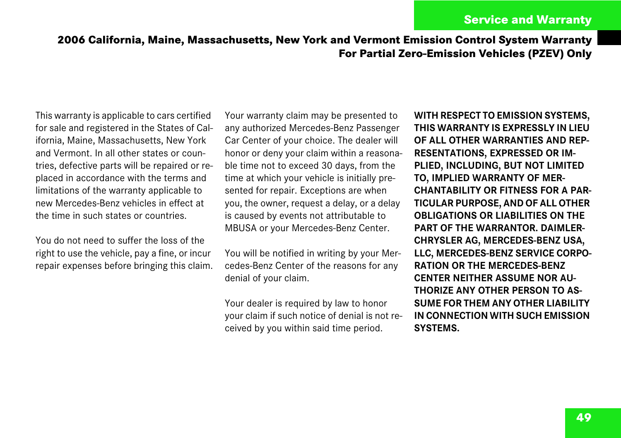# **2006 California, Maine, Massachusetts, New York and Vermont Emission Control System Warranty For Partial Zero-Emission Vehicles (PZEV) Only**

This warranty is applicable to cars certified for sale and registered in the States of California, Maine, Massachusetts, New York and Vermont. In all other states or countries, defective parts will be repaired or replaced in accordance with the terms and limitations of the warranty applicable to new Mercedes-Benz vehicles in effect at the time in such states or countries.

You do not need to suffer the loss of the right to use the vehicle, pay a fine, or incur repair expenses before bringing this claim. Your warranty claim may be presented to any authorized Mercedes-Benz Passenger Car Center of your choice. The dealer will honor or deny your claim within a reasonable time not to exceed 30 days, from the time at which your vehicle is initially presented for repair. Exceptions are when you, the owner, request a delay, or a delay is caused by events not attributable to MBUSA or your Mercedes-Benz Center.

You will be notified in writing by your Mercedes-Benz Center of the reasons for any denial of your claim.

Your dealer is required by law to honor your claim if such notice of denial is not received by you within said time period.

**WITH RESPECT TO EMISSION SYSTEMS, THIS WARRANTY IS EXPRESSLY IN LIEU OF ALL OTHER WARRANTIES AND REP-RESENTATIONS, EXPRESSED OR IM-PLIED, INCLUDING, BUT NOT LIMITED TO, IMPLIED WARRANTY OF MER-CHANTABILITY OR FITNESS FOR A PAR-TICULAR PURPOSE, AND OF ALL OTHER OBLIGATIONS OR LIABILITIES ON THE PART OF THE WARRANTOR. DAIMLER-CHRYSLER AG, MERCEDES-BENZ USA, LLC, MERCEDES-BENZ SERVICE CORPO-RATION OR THE MERCEDES-BENZ CENTER NEITHER ASSUME NOR AU-THORIZE ANY OTHER PERSON TO AS-SUME FOR THEM ANY OTHER LIABILITY IN CONNECTION WITH SUCH EMISSION SYSTEMS.**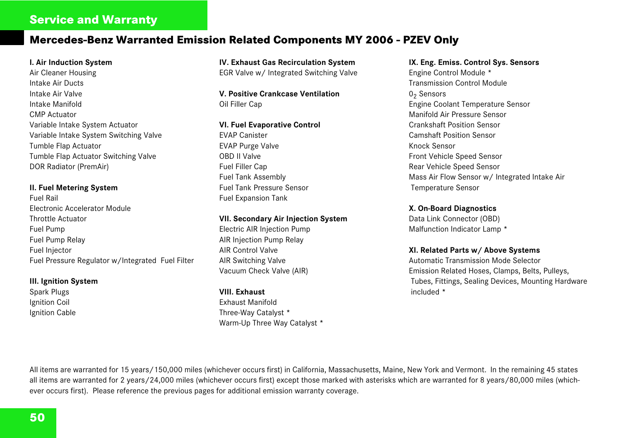### **Service and Warranty**

### <span id="page-51-0"></span>**Mercedes-Benz Warranted Emission Related Components MY 2006 - PZEV Only**

#### **I. Air Induction System**

Air Cleaner Housing Intake Air Ducts Intake Air Valve Intake Manifold CMP Actuator Variable Intake System Actuator Variable Intake System Switching Valve Tumble Flap Actuator Tumble Flap Actuator Switching Valve DOR Radiator (PremAir)

#### **II. Fuel Metering System**

Fuel Rail Electronic Accelerator Module Throttle Actuator Fuel Pump Fuel Pump Relay Fuel Injector Fuel Pressure Regulator w/Integrated Fuel Filter

#### **III. Ignition System**

Spark Plugs Ignition Coil Ignition Cable **IV. Exhaust Gas Recirculation System** EGR Valve w/ Integrated Switching Valve

#### **V. Positive Crankcase Ventilation** Oil Filler Cap

#### **VI. Fuel Evaporative Control**

EVAP Canister EVAP Purge Valve OBD II Valve Fuel Filler Cap Fuel Tank Assembly Fuel Tank Pressure Sensor Fuel Expansion Tank

#### **VII. Secondary Air Injection System**

Electric AIR Injection Pump AIR Injection Pump Relay AIR Control Valve AIR Switching Valve Vacuum Check Valve (AIR)

#### **VIII. Exhaust** Exhaust Manifold

Three-Way Catalyst **\*** Warm-Up Three Way Catalyst **\***

#### **IX. Eng. Emiss. Control Sys. Sensors**

Engine Control Module **\*** Transmission Control Module 0<sub>2</sub> Sensors Engine Coolant Temperature Sensor Manifold Air Pressure Sensor Crankshaft Position Sensor Camshaft Position Sensor Knock Sensor Front Vehicle Speed Sensor Rear Vehicle Speed Sensor Mass Air Flow Sensor w/ Integrated Intake Air Temperature Sensor

#### **X. On-Board Diagnostics**

Data Link Connector (OBD) Malfunction Indicator Lamp **\***

#### **XI. Related Parts w/ Above Systems**

Automatic Transmission Mode Selector Emission Related Hoses, Clamps, Belts, Pulleys, Tubes, Fittings, Sealing Devices, Mounting Hardware included **\***

All items are warranted for 15 years/150,000 miles (whichever occurs first) in California, Massachusetts, Maine, New York and Vermont. In the remaining 45 states all items are warranted for 2 years/24,000 miles (whichever occurs first) except those marked with asterisks which are warranted for 8 years/80,000 miles (whichever occurs first). Please reference the previous pages for additional emission warranty coverage.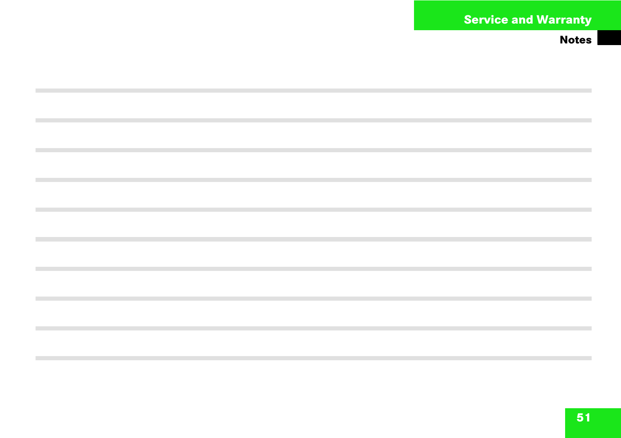$\mathcal{L}^{\mathcal{L}}$ 

 $\mathcal{L}_{\mathcal{A}}$ 

 $\mathcal{L}_{\mathcal{A}}$ 

**COL** 

 $\mathcal{L}_{\mathcal{A}}$ 

**The State**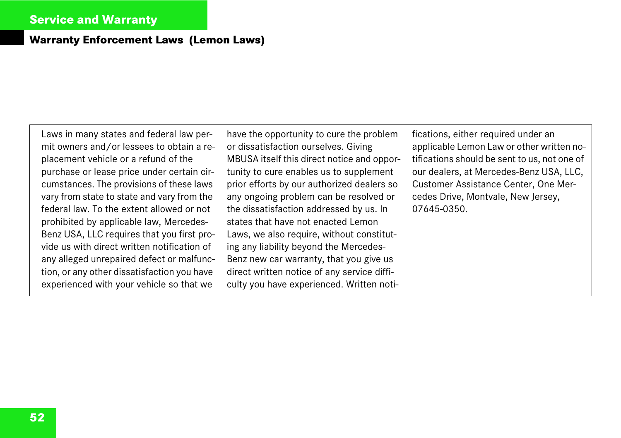### **Warranty Enforcement Laws (Lemon Laws)**

Laws in many states and federal law permit owners and/or lessees to obtain a replacement vehicle or a refund of the purchase or lease price under certain circumstances. The provisions of these laws vary from state to state and vary from the federal law. To the extent allowed or not prohibited by applicable law, Mercedes-Benz USA, LLC requires that you first provide us with direct written notification of any alleged unrepaired defect or malfunction, or any other dissatisfaction you have experienced with your vehicle so that we

have the opportunity to cure the problem or dissatisfaction ourselves. Giving MBUSA itself this direct notice and opportunity to cure enables us to supplement prior efforts by our authorized dealers so any ongoing problem can be resolved or the dissatisfaction addressed by us. In states that have not enacted Lemon Laws, we also require, without constituting any liability beyond the Mercedes-Benz new car warranty, that you give us direct written notice of any service difficulty you have experienced. Written notifications, either required under an applicable Lemon Law or other written notifications should be sent to us, not one of our dealers, at Mercedes-Benz USA, LLC, Customer Assistance Center, One Mercedes Drive, Montvale, New Jersey, 07645-0350.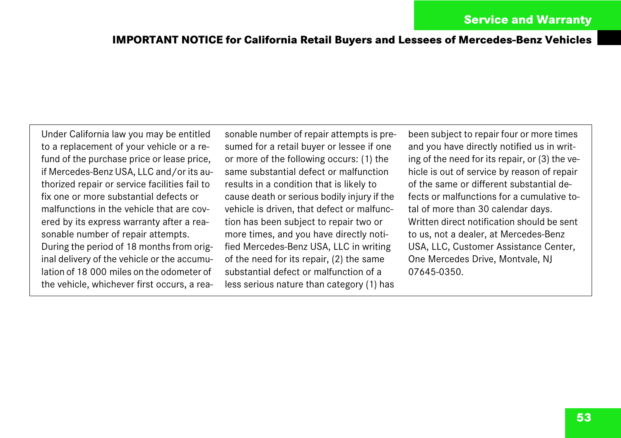### **IMPORTANT NOTICE for California Retail Buyers and Lessees of Mercedes-Benz Vehicles**

Under California law you may be entitled to a replacement of your vehicle or a refund of the purchase price or lease price, if Mercedes-Benz USA, LLC and/or its authorized repair or service facilities fail to fix one or more substantial defects or malfunctions in the vehicle that are covered by its express warranty after a reasonable number of repair attempts. During the period of 18 months from original delivery of the vehicle or the accumulation of 18 000 miles on the odometer of the vehicle, whichever first occurs, a reasonable number of repair attempts is presumed for a retail buyer or lessee if one or more of the following occurs: (1) the same substantial defect or malfunction results in a condition that is likely to cause death or serious bodily injury if the vehicle is driven, that defect or malfunction has been subject to repair two or more times, and you have directly notified Mercedes-Benz USA, LLC in writing of the need for its repair, (2) the same substantial defect or malfunction of a less serious nature than category (1) has

been subject to repair four or more times and you have directly notified us in writing of the need for its repair, or (3) the vehicle is out of service by reason of repair of the same or different substantial defects or malfunctions for a cumulative total of more than 30 calendar days. Written direct notification should be sent to us, not a dealer, at Mercedes-Benz USA, LLC, Customer Assistance Center, One Mercedes Drive, Montvale, NJ 07645-0350.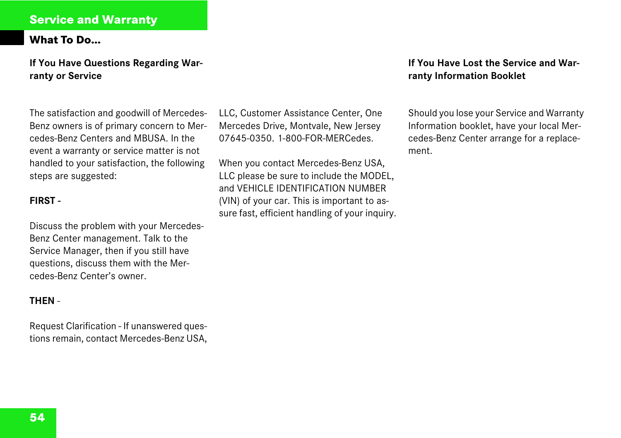### **Service and Warranty**

### **What To Do...**

#### **If You Have Questions Regarding Warranty or Service**

The satisfaction and goodwill of Mercedes-Benz owners is of primary concern to Mercedes-Benz Centers and MBUSA. In the event a warranty or service matter is not handled to your satisfaction, the following steps are suggested:

#### **FIRST -**

Discuss the problem with your Mercedes-Benz Center management. Talk to the Service Manager, then if you still have questions, discuss them with the Mercedes-Benz Center's owner.

### **THEN** -

Request Clarification - If unanswered questions remain, contact Mercedes-Benz USA, LLC, Customer Assistance Center, One Mercedes Drive, Montvale, New Jersey 07645-0350. 1-800-FOR-MERCedes.

When you contact Mercedes-Benz USA, LLC please be sure to include the MODEL, and VEHICLE IDENTIFICATION NUMBER (VIN) of your car. This is important to assure fast, efficient handling of your inquiry.

### **If You Have Lost the Service and Warranty Information Booklet**

Should you lose your Service and Warranty Information booklet, have your local Mercedes-Benz Center arrange for a replacement.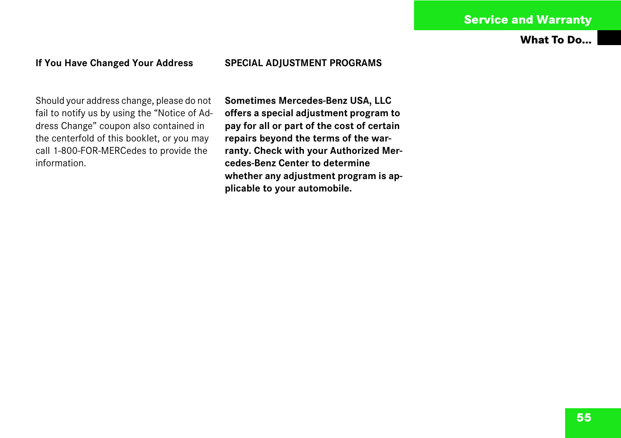**What To Do...**

#### **If You Have Changed Your Address**

#### **SPECIAL ADJUSTMENT PROGRAMS**

Should your address change, please do not fail to notify us by using the "Notice of Address Change" coupon also contained in the centerfold of this booklet, or you may call 1-800-FOR-MERCedes to provide the information.

**Sometimes Mercedes-Benz USA, LLC offers a special adjustment program to pay for all or part of the cost of certain repairs beyond the terms of the warranty. Check with your Authorized Mercedes-Benz Center to determine whether any adjustment program is applicable to your automobile.**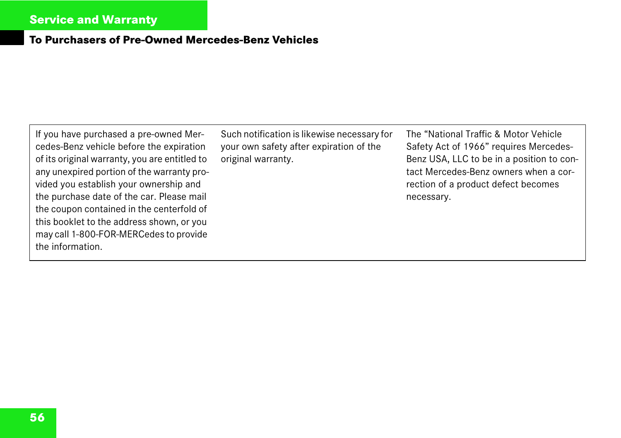### **To Purchasers of Pre-Owned Mercedes-Benz Vehicles**

If you have purchased a pre-owned Mercedes-Benz vehicle before the expiration of its original warranty, you are entitled to any unexpired portion of the warranty provided you establish your ownership and the purchase date of the car. Please mail the coupon contained in the centerfold of this booklet to the address shown, or you may call 1-800-FOR-MERCedes to provide the information.

Such notification is likewise necessary for your own safety after expiration of the original warranty.

The "National Traffic & Motor Vehicle Safety Act of 1966" requires Mercedes-Benz USA, LLC to be in a position to contact Mercedes-Benz owners when a correction of a product defect becomes necessary.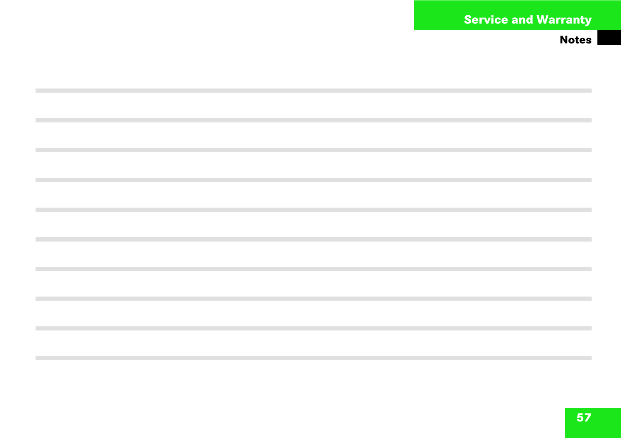$\mathcal{L}^{\mathcal{L}}$ 

 $\mathcal{L}_{\mathcal{A}}$ 

 $\mathcal{L}_{\mathcal{A}}$ 

**COL** 

 $\mathcal{L}_{\mathcal{A}}$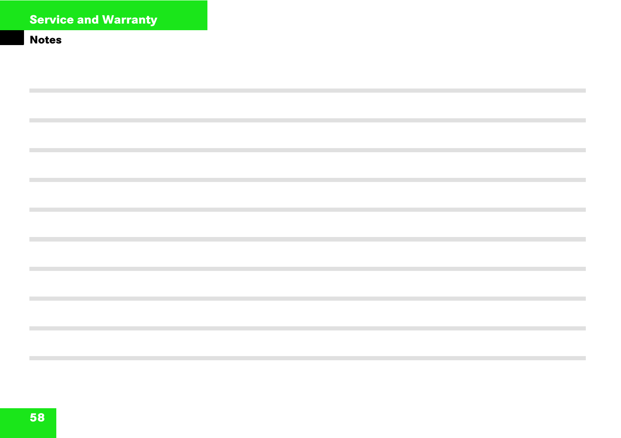| ,我们也不会有什么。""我们的人,我们也不会有什么?""我们的人,我们也不会有什么?""我们的人,我们也不会有什么?""我们的人,我们也不会有什么?""我们的人                                                                                                                                              |  |
|-------------------------------------------------------------------------------------------------------------------------------------------------------------------------------------------------------------------------------|--|
|                                                                                                                                                                                                                               |  |
|                                                                                                                                                                                                                               |  |
| 的,我们也不会有什么。""我们的人,我们也不会有什么?""我们的人,我们也不会有什么?""我们的人,我们也不会有什么?""我们的人,我们也不会有什么?""我们的                                                                                                                                              |  |
|                                                                                                                                                                                                                               |  |
|                                                                                                                                                                                                                               |  |
| <b>一个人的人,我们也不能在这个人的人,我们也不能在这个人的人,我们也不能在这个人的人,我们</b> 也不能在这个人的人,我们也不能在这个人的人,我们也不能在这个人的人,我们                                                                                                                                      |  |
|                                                                                                                                                                                                                               |  |
|                                                                                                                                                                                                                               |  |
| the control of the control of the control of the control of the control of the control of the control of the control of the control of the control of the control of the control of the control of the control of the control |  |
|                                                                                                                                                                                                                               |  |
| <b>这个人的人,我们也不能在这个人的人,我们也不能在这个人的人,我们也不能在这个人的人,我们也不能在这个人的人,我们也不能在这个人的人,我们</b> 也不能在这个人的人,我们                                                                                                                                      |  |
|                                                                                                                                                                                                                               |  |
|                                                                                                                                                                                                                               |  |
| 的,我们也不会有什么?""我们的人,我们也不会有什么?""我们的人,我们也不会有什么?""我们的人,我们也不会有什么?""我们的人,我们也不会有什么?""我们的                                                                                                                                              |  |
|                                                                                                                                                                                                                               |  |
|                                                                                                                                                                                                                               |  |
| <b>这个人的人,我们也不能在这个人的人,我们也不能在这个人的人,我们也不能在这个人的人,我们也不能在这个人的人,我们也不能在这个人的人,我们</b> 也不能在这个人的人,我们                                                                                                                                      |  |
|                                                                                                                                                                                                                               |  |
|                                                                                                                                                                                                                               |  |
| <b>这个人的人,我们也不能在这个人的人,我们也不能在这个人的人,我们也不能在这个人的人,我们也不能在这个人的人,我们也不能在这个人的人,我们</b> 也不能在这个人的人,我们                                                                                                                                      |  |
|                                                                                                                                                                                                                               |  |
| <b>这个人的人,我们也不能在这个人的人,我们也不能在这个人的人,我们也不能在这个人的人,我们也不能在这个人的人,我们也不能在这个人的人,我们</b> 也不能在这个人的人,我们                                                                                                                                      |  |
|                                                                                                                                                                                                                               |  |
|                                                                                                                                                                                                                               |  |
| 的,我们也不会有什么。""我们的人,我们也不会有什么?""我们的人,我们也不会有什么?""我们的人,我们也不会有什么?""我们的人,我们也不会有什么?""我们的                                                                                                                                              |  |
|                                                                                                                                                                                                                               |  |
|                                                                                                                                                                                                                               |  |
|                                                                                                                                                                                                                               |  |
|                                                                                                                                                                                                                               |  |
|                                                                                                                                                                                                                               |  |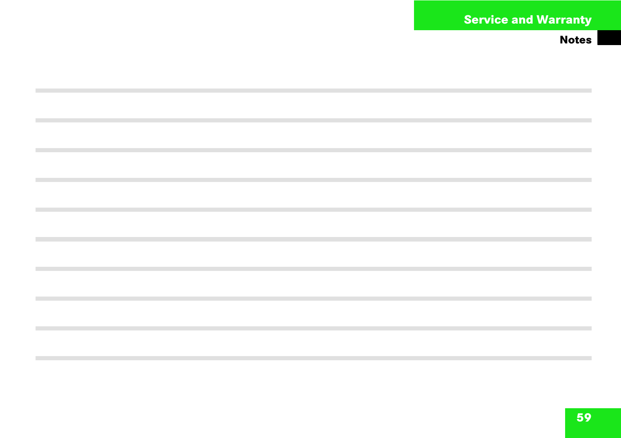$\mathcal{L}^{\mathcal{L}}$ 

 $\mathcal{L}_{\mathcal{A}}$ 

 $\mathcal{L}_{\mathcal{A}}$ 

**COL** 

 $\mathcal{L}_{\mathcal{A}}$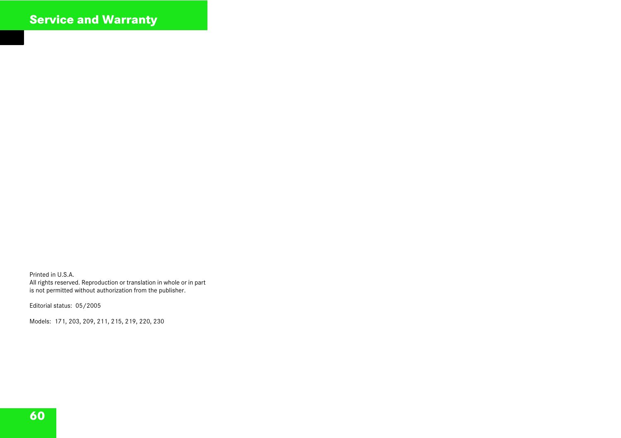Printed in U.S.A. All rights reserved. Reproduction or translation in whole or in part is not permitted without authorization from the publisher.

Editorial status: 05/2005

Models: 171, 203, 209, 211, 215, 219, 220, 230